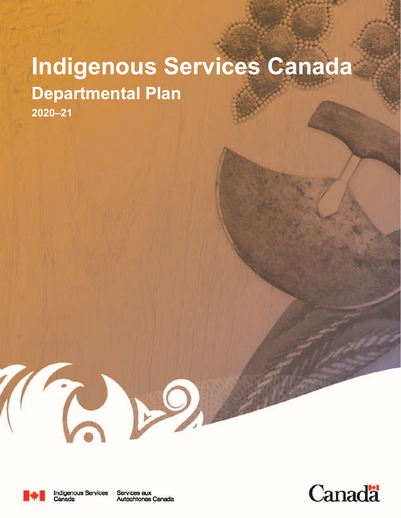# **Indigenous Services Canada Departmental Plan 2020–21**



Services aux Autochtones Canada

 $\mathbf{P}^{\mathbf{C}}$ 

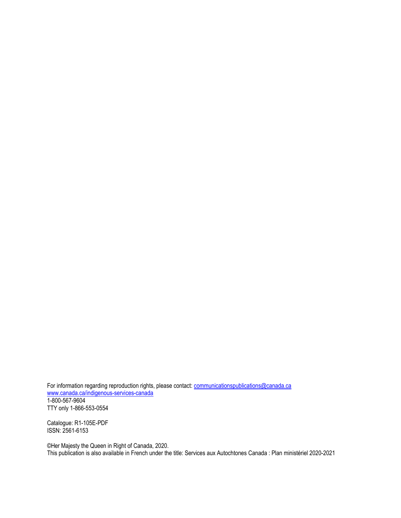For information regarding reproduction rights, please contact: <u>communicationspublications@canada.ca</u> www.canada.ca/indigenous-services-canada 1-800-567-9604 TTY only 1-866-553-0554

Catalogue: R1-105E-PDF ISSN: 2561-6153

©Her Majesty the Queen in Right of Canada, 2020. This publication is also available in French under the title: Services aux Autochtones Canada : Plan ministériel 2020-2021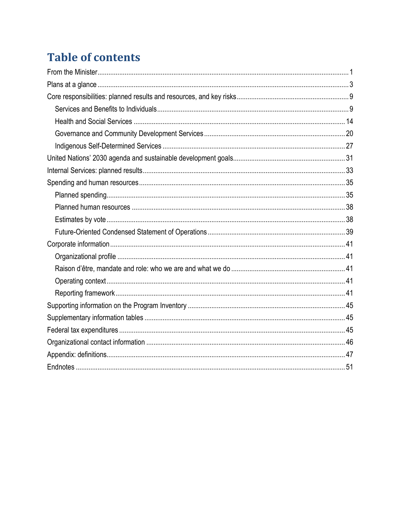# **Table of contents**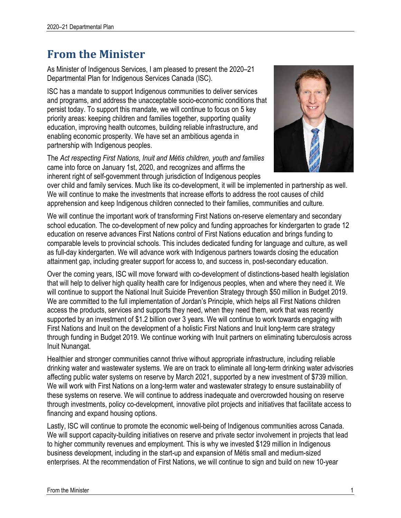# **From the Minister**

As Minister of Indigenous Services, I am pleased to present the 2020–21 Departmental Plan for Indigenous Services Canada (ISC).

ISC has a mandate to support Indigenous communities to deliver services and programs, and address the unacceptable socio-economic conditions that persist today. To support this mandate, we will continue to focus on 5 key priority areas: keeping children and families together, supporting quality education, improving health outcomes, building reliable infrastructure, and enabling economic prosperity. We have set an ambitious agenda in partnership with Indigenous peoples.

The *Act respecting First Nations, Inuit and Métis children, youth and families* came into force on January 1st, 2020, and recognizes and affirms the inherent right of self-government through jurisdiction of Indigenous peoples



over child and family services. Much like its co-development, it will be implemented in partnership as well. We will continue to make the investments that increase efforts to address the root causes of child apprehension and keep Indigenous children connected to their families, communities and culture.

We will continue the important work of transforming First Nations on-reserve elementary and secondary school education. The co-development of new policy and funding approaches for kindergarten to grade 12 education on reserve advances First Nations control of First Nations education and brings funding to comparable levels to provincial schools. This includes dedicated funding for language and culture, as well as full-day kindergarten. We will advance work with Indigenous partners towards closing the education attainment gap, including greater support for access to, and success in, post-secondary education.

Over the coming years, ISC will move forward with co-development of distinctions-based health legislation that will help to deliver high quality health care for Indigenous peoples, when and where they need it. We will continue to support the National Inuit Suicide Prevention Strategy through \$50 million in Budget 2019. We are committed to the full implementation of Jordan's Principle, which helps all First Nations children access the products, services and supports they need, when they need them, work that was recently supported by an investment of \$1.2 billion over 3 years. We will continue to work towards engaging with First Nations and Inuit on the development of a holistic First Nations and Inuit long-term care strategy through funding in Budget 2019. We continue working with Inuit partners on eliminating tuberculosis across Inuit Nunangat.

Healthier and stronger communities cannot thrive without appropriate infrastructure, including reliable drinking water and wastewater systems. We are on track to eliminate all long-term drinking water advisories affecting public water systems on reserve by March 2021, supported by a new investment of \$739 million. We will work with First Nations on a long-term water and wastewater strategy to ensure sustainability of these systems on reserve. We will continue to address inadequate and overcrowded housing on reserve through investments, policy co-development, innovative pilot projects and initiatives that facilitate access to financing and expand housing options.

Lastly, ISC will continue to promote the economic well-being of Indigenous communities across Canada. We will support capacity-building initiatives on reserve and private sector involvement in projects that lead to higher community revenues and employment. This is why we invested \$129 million in Indigenous business development, including in the start-up and expansion of Métis small and medium-sized enterprises. At the recommendation of First Nations, we will continue to sign and build on new 10-year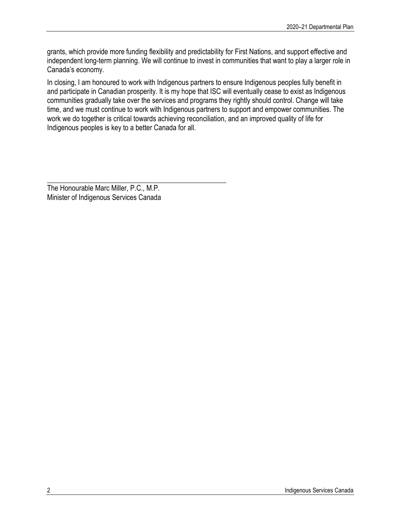grants, which provide more funding flexibility and predictability for First Nations, and support effective and independent long-term planning. We will continue to invest in communities that want to play a larger role in Canada's economy.

In closing, I am honoured to work with Indigenous partners to ensure Indigenous peoples fully benefit in and participate in Canadian prosperity. It is my hope that ISC will eventually cease to exist as Indigenous communities gradually take over the services and programs they rightly should control. Change will take time, and we must continue to work with Indigenous partners to support and empower communities. The work we do together is critical towards achieving reconciliation, and an improved quality of life for Indigenous peoples is key to a better Canada for all.

\_\_\_\_\_\_\_\_\_\_\_\_\_\_\_\_\_\_\_\_\_\_\_\_\_\_\_\_\_\_\_\_\_\_\_\_\_\_\_\_\_\_\_\_\_\_\_\_\_\_ The Honourable Marc Miller, P.C., M.P. Minister of Indigenous Services Canada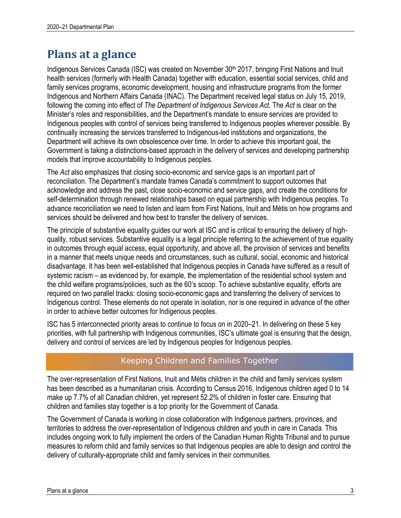# **Plans at a glance**

Indigenous Services Canada (ISC) was created on November 30<sup>th</sup> 2017, bringing First Nations and Inuit health services (formerly with Health Canada) together with education, essential social services, child and family services programs, economic development, housing and infrastructure programs from the former Indigenous and Northern Affairs Canada (INAC). The Department received legal status on July 15, 2019, following the coming into effect of *The Department of Indigenous Services Act*. The *Act* is clear on the Minister's roles and responsibilities, and the Department's mandate to ensure services are provided to Indigenous peoples with control of services being transferred to Indigenous peoples wherever possible. By continually increasing the services transferred to Indigenous-led institutions and organizations, the Department will achieve its own obsolescence over time. In order to achieve this important goal, the Government is taking a distinctions-based approach in the delivery of services and developing partnership models that improve accountability to Indigenous peoples.

The *Act* also emphasizes that closing socio-economic and service gaps is an important part of reconciliation. The Department's mandate frames Canada's commitment to support outcomes that acknowledge and address the past, close socio-economic and service gaps, and create the conditions for self-determination through renewed relationships based on equal partnership with Indigenous peoples. To advance reconciliation we need to listen and learn from First Nations, Inuit and Métis on how programs and services should be delivered and how best to transfer the delivery of services.

The principle of substantive equality guides our work at ISC and is critical to ensuring the delivery of highquality, robust services. Substantive equality is a legal principle referring to the achievement of true equality in outcomes through equal access, equal opportunity, and above all, the provision of services and benefits in a manner that meets unique needs and circumstances, such as cultural, social, economic and historical disadvantage. It has been well-established that Indigenous peoples in Canada have suffered as a result of systemic racism – as evidenced by, for example, the implementation of the residential school system and the child welfare programs/policies, such as the 60's scoop. To achieve substantive equality, efforts are required on two parallel tracks: closing socio-economic gaps and transferring the delivery of services to Indigenous control. These elements do not operate in isolation, nor is one required in advance of the other in order to achieve better outcomes for Indigenous peoples.

ISC has 5 interconnected priority areas to continue to focus on in 2020–21. In delivering on these 5 key priorities, with full partnership with Indigenous communities, ISC's ultimate goal is ensuring that the design, delivery and control of services are led by Indigenous peoples for Indigenous peoples.

### Keeping Children and Families Together

The over-representation of First Nations, Inuit and Métis children in the child and family services system has been described as a humanitarian crisis. According to Census 2016, Indigenous children aged 0 to 14 make up 7.7% of all Canadian children, yet represent 52.2% of children in foster care. Ensuring that children and families stay together is a top priority for the Government of Canada.

The Government of Canada is working in close collaboration with Indigenous partners, provinces, and territories to address the over-representation of Indigenous children and youth in care in Canada. This includes ongoing work to fully implement the orders of the Canadian Human Rights Tribunal and to pursue measures to reform child and family services so that Indigenous peoples are able to design and control the delivery of culturally-appropriate child and family services in their communities.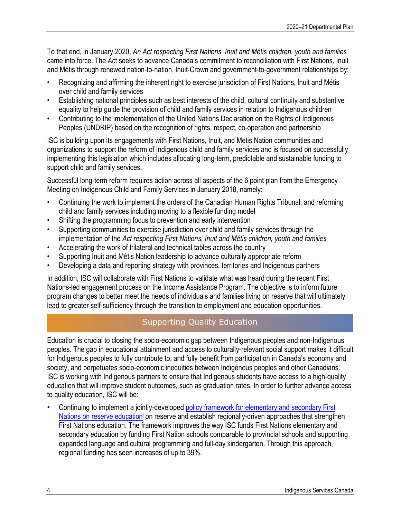To that end, in January 2020, *An Act respecting First Nations, Inuit and Métis children, youth and families* came into force. The *Ac*t seeks to advance Canada's commitment to reconciliation with First Nations, Inuit and Métis through renewed nation-to-nation, Inuit-Crown and government-to-government relationships by:

- Recognizing and affirming the inherent right to exercise jurisdiction of First Nations, Inuit and Métis over child and family services
- Establishing national principles such as best interests of the child, cultural continuity and substantive equality to help guide the provision of child and family services in relation to Indigenous children
- Contributing to the implementation of the United Nations Declaration on the Rights of Indigenous Peoples (UNDRIP) based on the recognition of rights, respect, co-operation and partnership

ISC is building upon its engagements with First Nations, Inuit, and Métis Nation communities and organizations to support the reform of Indigenous child and family services and is focused on successfully implementing this legislation which includes allocating long-term, predictable and sustainable funding to support child and family services.

Successful long-term reform requires action across all aspects of the 6 point plan from the Emergency Meeting on Indigenous Child and Family Services in January 2018, namely:

- Continuing the work to implement the orders of the Canadian Human Rights Tribunal, and reforming child and family services including moving to a flexible funding model
- Shifting the programming focus to prevention and early intervention
- Supporting communities to exercise jurisdiction over child and family services through the implementation of the *Act respecting First Nations, Inuit and Métis children, youth and families*
- Accelerating the work of trilateral and technical tables across the country
- Supporting Inuit and Métis Nation leadership to advance culturally appropriate reform
- Developing a data and reporting strategy with provinces, territories and Indigenous partners

In addition, ISC will collaborate with First Nations to validate what was heard during the recent First Nations-led engagement process on the Income Assistance Program. The objective is to inform future program changes to better meet the needs of individuals and families living on reserve that will ultimately lead to greater self-sufficiency through the transition to employment and education opportunities.

### Supporting Quality Education

Education is crucial to closing the socio-economic gap between Indigenous peoples and non-Indigenous peoples. The gap in educational attainment and access to culturally-relevant social support makes it difficult for Indigenous peoples to fully contribute to, and fully benefit from participation in Canada's economy and society, and perpetuates socio-economic inequities between Indigenous peoples and other Canadians. ISC is working with Indigenous partners to ensure that Indigenous students have access to a high-quality education that will improve student outcomes, such as graduation rates. In order to further advance access to quality education, ISC will be:

• Continuing to implement a jointly-developed policy framework for elementary and secondary First Nations on reserve education<sup>i</sup> on reserve and establish regionally-driven approaches that strengthen First Nations education. The framework improves the way ISC funds First Nations elementary and secondary education by funding First Nation schools comparable to provincial schools and supporting expanded language and cultural programming and full-day kindergarten. Through this approach, regional funding has seen increases of up to 39%.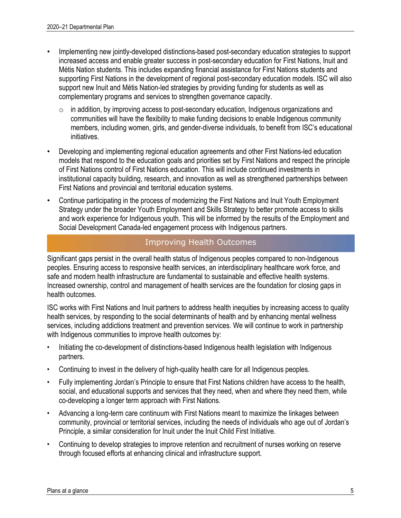- Implementing new jointly-developed distinctions-based post-secondary education strategies to support increased access and enable greater success in post-secondary education for First Nations, Inuit and Métis Nation students. This includes expanding financial assistance for First Nations students and supporting First Nations in the development of regional post-secondary education models. ISC will also support new Inuit and Métis Nation-led strategies by providing funding for students as well as complementary programs and services to strengthen governance capacity.
	- o in addition, by improving access to post-secondary education, Indigenous organizations and communities will have the flexibility to make funding decisions to enable Indigenous community members, including women, girls, and gender-diverse individuals, to benefit from ISC's educational initiatives.
- Developing and implementing regional education agreements and other First Nations-led education models that respond to the education goals and priorities set by First Nations and respect the principle of First Nations control of First Nations education. This will include continued investments in institutional capacity building, research, and innovation as well as strengthened partnerships between First Nations and provincial and territorial education systems.
- Continue participating in the process of modernizing the First Nations and Inuit Youth Employment Strategy under the broader Youth Employment and Skills Strategy to better promote access to skills and work experience for Indigenous youth. This will be informed by the results of the Employment and Social Development Canada-led engagement process with Indigenous partners.

### Improving Health Outcomes

Significant gaps persist in the overall health status of Indigenous peoples compared to non-Indigenous peoples. Ensuring access to responsive health services, an interdisciplinary healthcare work force, and safe and modern health infrastructure are fundamental to sustainable and effective health systems. Increased ownership, control and management of health services are the foundation for closing gaps in health outcomes.

ISC works with First Nations and Inuit partners to address health inequities by increasing access to quality health services, by responding to the social determinants of health and by enhancing mental wellness services, including addictions treatment and prevention services. We will continue to work in partnership with Indigenous communities to improve health outcomes by:

- Initiating the co-development of distinctions-based Indigenous health legislation with Indigenous partners.
- Continuing to invest in the delivery of high-quality health care for all Indigenous peoples.
- Fully implementing Jordan's Principle to ensure that First Nations children have access to the health, social, and educational supports and services that they need, when and where they need them, while co-developing a longer term approach with First Nations.
- Advancing a long-term care continuum with First Nations meant to maximize the linkages between community, provincial or territorial services, including the needs of individuals who age out of Jordan's Principle, a similar consideration for Inuit under the Inuit Child First Initiative.
- Continuing to develop strategies to improve retention and recruitment of nurses working on reserve through focused efforts at enhancing clinical and infrastructure support.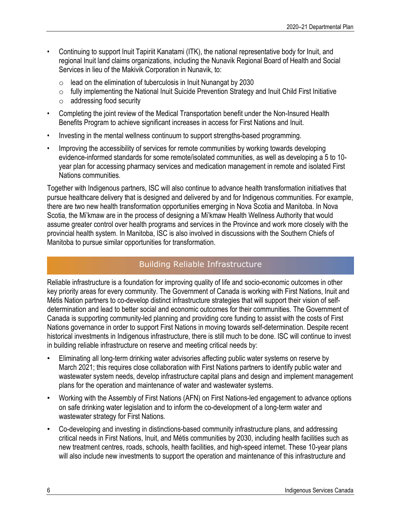- Continuing to support Inuit Tapiriit Kanatami (ITK), the national representative body for Inuit, and regional Inuit land claims organizations, including the Nunavik Regional Board of Health and Social Services in lieu of the Makivik Corporation in Nunavik, to:
	- $\circ$  lead on the elimination of tuberculosis in Inuit Nunangat by 2030
	- $\circ$  fully implementing the National Inuit Suicide Prevention Strategy and Inuit Child First Initiative
	- o addressing food security
- Completing the joint review of the Medical Transportation benefit under the Non-Insured Health Benefits Program to achieve significant increases in access for First Nations and Inuit.
- Investing in the mental wellness continuum to support strengths-based programming.
- Improving the accessibility of services for remote communities by working towards developing evidence-informed standards for some remote/isolated communities, as well as developing a 5 to 10 year plan for accessing pharmacy services and medication management in remote and isolated First Nations communities.

Together with Indigenous partners, ISC will also continue to advance health transformation initiatives that pursue healthcare delivery that is designed and delivered by and for Indigenous communities. For example, there are two new health transformation opportunities emerging in Nova Scotia and Manitoba. In Nova Scotia*,* the Mi'kmaw are in the process of designing a Mi'kmaw Health Wellness Authority that would assume greater control over health programs and services in the Province and work more closely with the provincial health system. In Manitoba, ISC is also involved in discussions with the Southern Chiefs of Manitoba to pursue similar opportunities for transformation.

### Building Reliable Infrastructure

Reliable infrastructure is a foundation for improving quality of life and socio-economic outcomes in other key priority areas for every community. The Government of Canada is working with First Nations, Inuit and Métis Nation partners to co-develop distinct infrastructure strategies that will support their vision of selfdetermination and lead to better social and economic outcomes for their communities. The Government of Canada is supporting community-led planning and providing core funding to assist with the costs of First Nations governance in order to support First Nations in moving towards self-determination. Despite recent historical investments in Indigenous infrastructure, there is still much to be done. ISC will continue to invest in building reliable infrastructure on reserve and meeting critical needs by:

- Eliminating all long-term drinking water advisories affecting public water systems on reserve by March 2021; this requires close collaboration with First Nations partners to identify public water and wastewater system needs, develop infrastructure capital plans and design and implement management plans for the operation and maintenance of water and wastewater systems.
- Working with the Assembly of First Nations (AFN) on First Nations-led engagement to advance options on safe drinking water legislation and to inform the co-development of a long-term water and wastewater strategy for First Nations.
- Co-developing and investing in distinctions-based community infrastructure plans, and addressing critical needs in First Nations, Inuit, and Métis communities by 2030, including health facilities such as new treatment centres, roads, schools, health facilities, and high-speed internet. These 10-year plans will also include new investments to support the operation and maintenance of this infrastructure and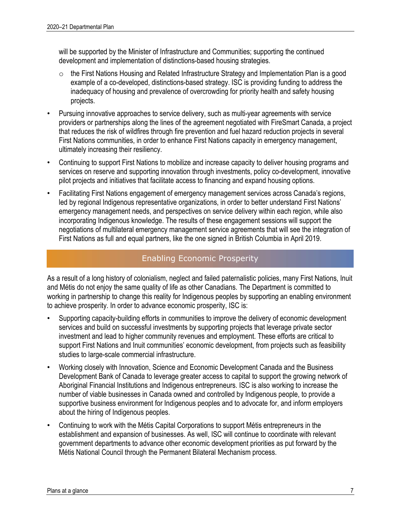will be supported by the Minister of Infrastructure and Communities; supporting the continued development and implementation of distinctions-based housing strategies.

- o the First Nations Housing and Related Infrastructure Strategy and Implementation Plan is a good example of a co-developed, distinctions-based strategy. ISC is providing funding to address the inadequacy of housing and prevalence of overcrowding for priority health and safety housing projects.
- Pursuing innovative approaches to service delivery, such as multi-year agreements with service providers or partnerships along the lines of the agreement negotiated with FireSmart Canada, a project that reduces the risk of wildfires through fire prevention and fuel hazard reduction projects in several First Nations communities, in order to enhance First Nations capacity in emergency management, ultimately increasing their resiliency.
- Continuing to support First Nations to mobilize and increase capacity to deliver housing programs and services on reserve and supporting innovation through investments, policy co-development, innovative pilot projects and initiatives that facilitate access to financing and expand housing options.
- Facilitating First Nations engagement of emergency management services across Canada's regions, led by regional Indigenous representative organizations, in order to better understand First Nations' emergency management needs, and perspectives on service delivery within each region, while also incorporating Indigenous knowledge. The results of these engagement sessions will support the negotiations of multilateral emergency management service agreements that will see the integration of First Nations as full and equal partners, like the one signed in British Columbia in April 2019.

### Enabling Economic Prosperity

As a result of a long history of colonialism, neglect and failed paternalistic policies, many First Nations, Inuit and Métis do not enjoy the same quality of life as other Canadians. The Department is committed to working in partnership to change this reality for Indigenous peoples by supporting an enabling environment to achieve prosperity. In order to advance economic prosperity, ISC is:

- Supporting capacity-building efforts in communities to improve the delivery of economic development services and build on successful investments by supporting projects that leverage private sector investment and lead to higher community revenues and employment. These efforts are critical to support First Nations and Inuit communities' economic development, from projects such as feasibility studies to large-scale commercial infrastructure.
- Working closely with Innovation, Science and Economic Development Canada and the Business Development Bank of Canada to leverage greater access to capital to support the growing network of Aboriginal Financial Institutions and Indigenous entrepreneurs. ISC is also working to increase the number of viable businesses in Canada owned and controlled by Indigenous people, to provide a supportive business environment for Indigenous peoples and to advocate for, and inform employers about the hiring of Indigenous peoples.
- Continuing to work with the Métis Capital Corporations to support Métis entrepreneurs in the establishment and expansion of businesses. As well, ISC will continue to coordinate with relevant government departments to advance other economic development priorities as put forward by the Métis National Council through the Permanent Bilateral Mechanism process.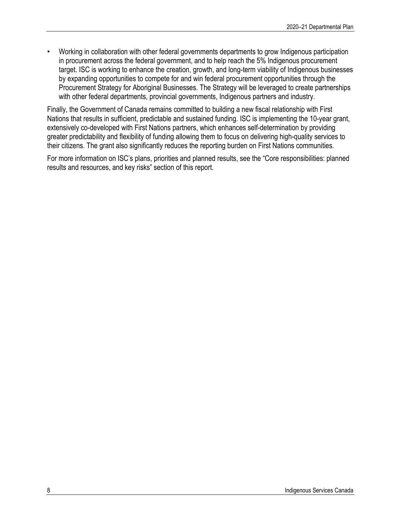• Working in collaboration with other federal governments departments to grow Indigenous participation in procurement across the federal government, and to help reach the 5% Indigenous procurement target. ISC is working to enhance the creation, growth, and long-term viability of Indigenous businesses by expanding opportunities to compete for and win federal procurement opportunities through the Procurement Strategy for Aboriginal Businesses. The Strategy will be leveraged to create partnerships with other federal departments, provincial governments, Indigenous partners and industry.

Finally, the Government of Canada remains committed to building a new fiscal relationship with First Nations that results in sufficient, predictable and sustained funding. ISC is implementing the 10-year grant, extensively co-developed with First Nations partners, which enhances self-determination by providing greater predictability and flexibility of funding allowing them to focus on delivering high-quality services to their citizens. The grant also significantly reduces the reporting burden on First Nations communities.

For more information on ISC's plans, priorities and planned results, see the "Core responsibilities: planned results and resources, and key risks" section of this report.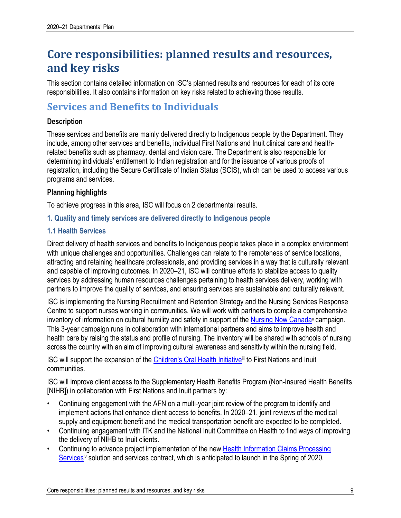# **Core responsibilities: planned results and resources, and key risks**

This section contains detailed information on ISC's planned results and resources for each of its core responsibilities. It also contains information on key risks related to achieving those results.

### **Services and Benefits to Individuals**

### **Description**

These services and benefits are mainly delivered directly to Indigenous people by the Department. They include, among other services and benefits, individual First Nations and Inuit clinical care and healthrelated benefits such as pharmacy, dental and vision care. The Department is also responsible for determining individuals' entitlement to Indian registration and for the issuance of various proofs of registration, including the Secure Certificate of Indian Status (SCIS), which can be used to access various programs and services.

### **Planning highlights**

To achieve progress in this area, ISC will focus on 2 departmental results.

**1. Quality and timely services are delivered directly to Indigenous people**

### **1.1 Health Services**

Direct delivery of health services and benefits to Indigenous people takes place in a complex environment with unique challenges and opportunities. Challenges can relate to the remoteness of service locations, attracting and retaining healthcare professionals, and providing services in a way that is culturally relevant and capable of improving outcomes. In 2020–21, ISC will continue efforts to stabilize access to quality services by addressing human resources challenges pertaining to health services delivery, working with partners to improve the quality of services, and ensuring services are sustainable and culturally relevant.

ISC is implementing the Nursing Recruitment and Retention Strategy and the Nursing Services Response Centre to support nurses working in communities. We will work with partners to compile a comprehensive inventory of information on cultural humility and safety in support of the Nursing Now Canada<sup>ii</sup> campaign. This 3-year campaign runs in collaboration with international partners and aims to improve health and health care by raising the status and profile of nursing. The inventory will be shared with schools of nursing across the country with an aim of improving cultural awareness and sensitivity within the nursing field.

ISC will support the expansion of the Children's Oral Health Initiative<sup>ii</sup> to First Nations and Inuit communities.

ISC will improve client access to the Supplementary Health Benefits Program (Non-Insured Health Benefits [NIHB]) in collaboration with First Nations and Inuit partners by:

- Continuing engagement with the AFN on a multi-year joint review of the program to identify and implement actions that enhance client access to benefits. In 2020–21, joint reviews of the medical supply and equipment benefit and the medical transportation benefit are expected to be completed.
- Continuing engagement with ITK and the National Inuit Committee on Health to find ways of improving the delivery of NIHB to Inuit clients.
- Continuing to advance project implementation of the new Health Information Claims Processing Services<sup>iv</sup> solution and services contract, which is anticipated to launch in the Spring of 2020.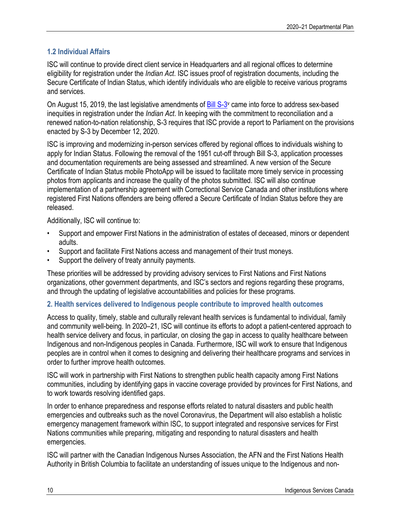### **1.2 Individual Affairs**

ISC will continue to provide direct client service in Headquarters and all regional offices to determine eligibility for registration under the *Indian Act*. ISC issues proof of registration documents, including the Secure Certificate of Indian Status, which identify individuals who are eligible to receive various programs and services.

On August 15, 2019, the last legislative amendments of Bill S-3<sup>v</sup> came into force to address sex-based inequities in registration under the *Indian Act*. In keeping with the commitment to reconciliation and a renewed nation-to-nation relationship, S-3 requires that ISC provide a report to Parliament on the provisions enacted by S-3 by December 12, 2020.

ISC is improving and modernizing in-person services offered by regional offices to individuals wishing to apply for Indian Status. Following the removal of the 1951 cut-off through Bill S-3, application processes and documentation requirements are being assessed and streamlined. A new version of the Secure Certificate of Indian Status mobile PhotoApp will be issued to facilitate more timely service in processing photos from applicants and increase the quality of the photos submitted. ISC will also continue implementation of a partnership agreement with Correctional Service Canada and other institutions where registered First Nations offenders are being offered a Secure Certificate of Indian Status before they are released.

Additionally, ISC will continue to:

- Support and empower First Nations in the administration of estates of deceased, minors or dependent adults.
- Support and facilitate First Nations access and management of their trust moneys.
- Support the delivery of treaty annuity payments.

These priorities will be addressed by providing advisory services to First Nations and First Nations organizations, other government departments, and ISC's sectors and regions regarding these programs, and through the updating of legislative accountabilities and policies for these programs.

### **2. Health services delivered to Indigenous people contribute to improved health outcomes**

Access to quality, timely, stable and culturally relevant health services is fundamental to individual, family and community well-being. In 2020–21, ISC will continue its efforts to adopt a patient-centered approach to health service delivery and focus, in particular, on closing the gap in access to quality healthcare between Indigenous and non-Indigenous peoples in Canada. Furthermore, ISC will work to ensure that Indigenous peoples are in control when it comes to designing and delivering their healthcare programs and services in order to further improve health outcomes.

ISC will work in partnership with First Nations to strengthen public health capacity among First Nations communities, including by identifying gaps in vaccine coverage provided by provinces for First Nations, and to work towards resolving identified gaps.

In order to enhance preparedness and response efforts related to natural disasters and public health emergencies and outbreaks such as the novel Coronavirus, the Department will also establish a holistic emergency management framework within ISC, to support integrated and responsive services for First Nations communities while preparing, mitigating and responding to natural disasters and health emergencies.

ISC will partner with the Canadian Indigenous Nurses Association, the AFN and the First Nations Health Authority in British Columbia to facilitate an understanding of issues unique to the Indigenous and non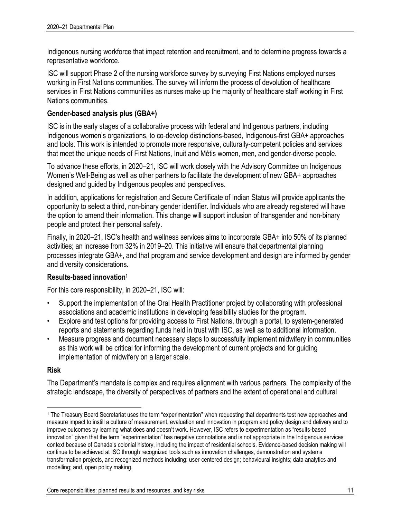Indigenous nursing workforce that impact retention and recruitment, and to determine progress towards a representative workforce.

ISC will support Phase 2 of the nursing workforce survey by surveying First Nations employed nurses working in First Nations communities. The survey will inform the process of devolution of healthcare services in First Nations communities as nurses make up the majority of healthcare staff working in First Nations communities.

### **Gender-based analysis plus (GBA+)**

ISC is in the early stages of a collaborative process with federal and Indigenous partners, including Indigenous women's organizations, to co-develop distinctions-based, Indigenous-first GBA+ approaches and tools. This work is intended to promote more responsive, culturally-competent policies and services that meet the unique needs of First Nations, Inuit and Métis women, men, and gender-diverse people.

To advance these efforts, in 2020–21, ISC will work closely with the Advisory Committee on Indigenous Women's Well-Being as well as other partners to facilitate the development of new GBA+ approaches designed and guided by Indigenous peoples and perspectives.

In addition, applications for registration and Secure Certificate of Indian Status will provide applicants the opportunity to select a third, non-binary gender identifier. Individuals who are already registered will have the option to amend their information. This change will support inclusion of transgender and non-binary people and protect their personal safety.

Finally, in 2020–21, ISC's health and wellness services aims to incorporate GBA+ into 50% of its planned activities; an increase from 32% in 2019–20. This initiative will ensure that departmental planning processes integrate GBA+, and that program and service development and design are informed by gender and diversity considerations.

### **Results-based innovation1**

For this core responsibility, in 2020–21, ISC will:

- Support the implementation of the Oral Health Practitioner project by collaborating with professional associations and academic institutions in developing feasibility studies for the program.
- Explore and test options for providing access to First Nations, through a portal, to system-generated reports and statements regarding funds held in trust with ISC, as well as to additional information.
- Measure progress and document necessary steps to successfully implement midwifery in communities as this work will be critical for informing the development of current projects and for guiding implementation of midwifery on a larger scale.

### **Risk**

The Department's mandate is complex and requires alignment with various partners. The complexity of the strategic landscape, the diversity of perspectives of partners and the extent of operational and cultural

 <sup>1</sup> The Treasury Board Secretariat uses the term "experimentation" when requesting that departments test new approaches and measure impact to instill a culture of measurement, evaluation and innovation in program and policy design and delivery and to improve outcomes by learning what does and doesn't work. However, ISC refers to experimentation as "results-based innovation" given that the term "experimentation" has negative connotations and is not appropriate in the Indigenous services context because of Canada's colonial history, including the impact of residential schools. Evidence-based decision making will continue to be achieved at ISC through recognized tools such as innovation challenges, demonstration and systems transformation projects, and recognized methods including: user-centered design; behavioural insights; data analytics and modelling; and, open policy making.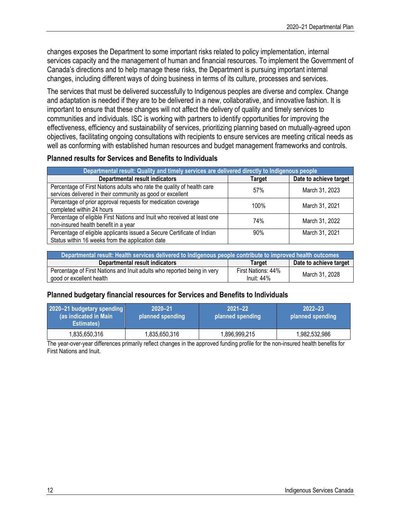changes exposes the Department to some important risks related to policy implementation, internal services capacity and the management of human and financial resources. To implement the Government of Canada's directions and to help manage these risks, the Department is pursuing important internal changes, including different ways of doing business in terms of its culture, processes and services.

The services that must be delivered successfully to Indigenous peoples are diverse and complex. Change and adaptation is needed if they are to be delivered in a new, collaborative, and innovative fashion. It is important to ensure that these changes will not affect the delivery of quality and timely services to communities and individuals. ISC is working with partners to identify opportunities for improving the effectiveness, efficiency and sustainability of services, prioritizing planning based on mutually-agreed upon objectives, facilitating ongoing consultations with recipients to ensure services are meeting critical needs as well as conforming with established human resources and budget management frameworks and controls.

### **Planned results for Services and Benefits to Individuals**

| Departmental result: Quality and timely services are delivered directly to Indigenous people                                         |        |                        |
|--------------------------------------------------------------------------------------------------------------------------------------|--------|------------------------|
| <b>Departmental result indicators</b>                                                                                                | Target | Date to achieve target |
| Percentage of First Nations adults who rate the quality of health care<br>services delivered in their community as good or excellent | 57%    | March 31, 2023         |
| Percentage of prior approval requests for medication coverage<br>completed within 24 hours                                           | 100%   | March 31, 2021         |
| Percentage of eligible First Nations and Inuit who received at least one<br>non-insured health benefit in a year                     | 74%    | March 31, 2022         |
| Percentage of eligible applicants issued a Secure Certificate of Indian<br>Status within 16 weeks from the application date          | 90%    | March 31, 2021         |

| Departmental result: Health services delivered to Indigenous people contribute to improved health outcomes |                    |                        |
|------------------------------------------------------------------------------------------------------------|--------------------|------------------------|
| Departmental result indicators                                                                             | <b>Target</b>      | Date to achieve target |
| Percentage of First Nations and Inuit adults who reported being in very                                    | First Nations: 44% | March 31, 2028         |
| good or excellent health                                                                                   | Inuit: $44\%$      |                        |

### **Planned budgetary financial resources for Services and Benefits to Individuals**

| 2020-21 budgetary spending<br>(as indicated in Main<br>Estimates) | $2020 - 21$<br>planned spending | $2021 - 22$<br>planned spending | $2022 - 23$<br>planned spending |
|-------------------------------------------------------------------|---------------------------------|---------------------------------|---------------------------------|
| 1,835,650,316                                                     | 1,835,650,316                   | 1,896,999,215                   | 1,982,532,986                   |

The year-over-year differences primarily reflect changes in the approved funding profile for the non-insured health benefits for First Nations and Inuit.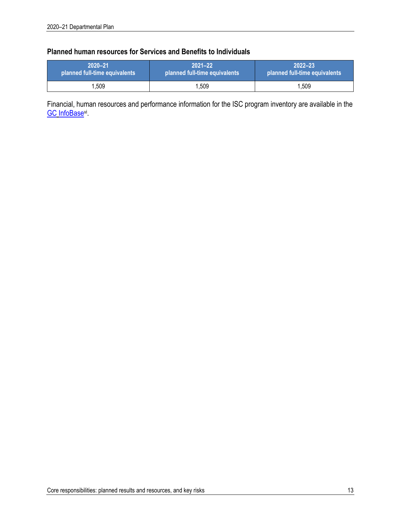### **Planned human resources for Services and Benefits to Individuals**

| 72020-21                      | $2021 - 22$                   | $2022 - 23$                   |
|-------------------------------|-------------------------------|-------------------------------|
| planned full-time equivalents | planned full-time equivalents | planned full-time equivalents |
| $^{\prime}$ .509              | .509                          | 1.509                         |

Financial, human resources and performance information for the ISC program inventory are available in the **GC** InfoBase<sup>vi</sup>.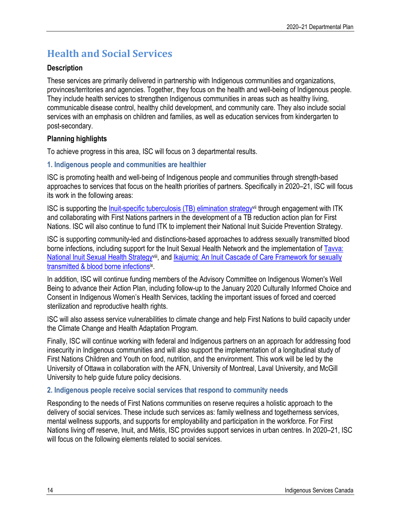# **Health and Social Services**

### **Description**

These services are primarily delivered in partnership with Indigenous communities and organizations, provinces/territories and agencies. Together, they focus on the health and well-being of Indigenous people. They include health services to strengthen Indigenous communities in areas such as healthy living, communicable disease control, healthy child development, and community care. They also include social services with an emphasis on children and families, as well as education services from kindergarten to post-secondary.

### **Planning highlights**

To achieve progress in this area, ISC will focus on 3 departmental results.

### **1. Indigenous people and communities are healthier**

ISC is promoting health and well-being of Indigenous people and communities through strength-based approaches to services that focus on the health priorities of partners. Specifically in 2020–21, ISC will focus its work in the following areas:

ISC is supporting the Inuit-specific tuberculosis (TB) elimination strategyvii through engagement with ITK and collaborating with First Nations partners in the development of a TB reduction action plan for First Nations. ISC will also continue to fund ITK to implement their National Inuit Suicide Prevention Strategy.

ISC is supporting community-led and distinctions-based approaches to address sexually transmitted blood borne infections, including support for the Inuit Sexual Health Network and the implementation of Tavva: National Inuit Sexual Health Strategy<sup>viii</sup>, and Ikajurnig: An Inuit Cascade of Care Framework for sexually transmitted & blood borne infectionsix.

In addition, ISC will continue funding members of the Advisory Committee on Indigenous Women's Well Being to advance their Action Plan, including follow-up to the January 2020 Culturally Informed Choice and Consent in Indigenous Women's Health Services, tackling the important issues of forced and coerced sterilization and reproductive health rights.

ISC will also assess service vulnerabilities to climate change and help First Nations to build capacity under the Climate Change and Health Adaptation Program.

Finally, ISC will continue working with federal and Indigenous partners on an approach for addressing food insecurity in Indigenous communities and will also support the implementation of a longitudinal study of First Nations Children and Youth on food, nutrition, and the environment. This work will be led by the University of Ottawa in collaboration with the AFN, University of Montreal, Laval University, and McGill University to help guide future policy decisions.

### **2. Indigenous people receive social services that respond to community needs**

Responding to the needs of First Nations communities on reserve requires a holistic approach to the delivery of social services. These include such services as: family wellness and togetherness services, mental wellness supports, and supports for employability and participation in the workforce. For First Nations living off reserve, Inuit, and Métis, ISC provides support services in urban centres. In 2020–21, ISC will focus on the following elements related to social services.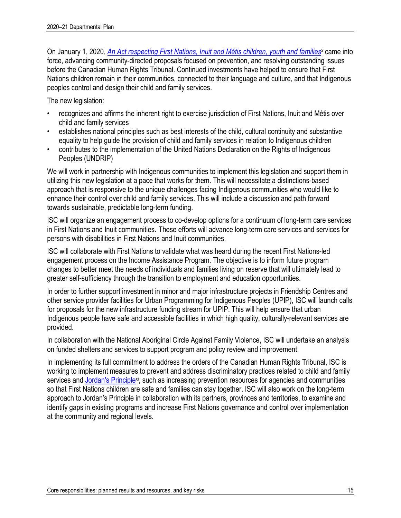On January 1, 2020, *An Act respecting First Nations, Inuit and Métis children, youth and families<sup>x</sup> came into* force, advancing community-directed proposals focused on prevention, and resolving outstanding issues before the Canadian Human Rights Tribunal. Continued investments have helped to ensure that First Nations children remain in their communities, connected to their language and culture, and that Indigenous peoples control and design their child and family services.

The new legislation:

- recognizes and affirms the inherent right to exercise jurisdiction of First Nations, Inuit and Métis over child and family services
- establishes national principles such as best interests of the child, cultural continuity and substantive equality to help guide the provision of child and family services in relation to Indigenous children
- contributes to the implementation of the United Nations Declaration on the Rights of Indigenous Peoples (UNDRIP)

We will work in partnership with Indigenous communities to implement this legislation and support them in utilizing this new legislation at a pace that works for them. This will necessitate a distinctions-based approach that is responsive to the unique challenges facing Indigenous communities who would like to enhance their control over child and family services. This will include a discussion and path forward towards sustainable, predictable long-term funding.

ISC will organize an engagement process to co-develop options for a continuum of long-term care services in First Nations and Inuit communities. These efforts will advance long-term care services and services for persons with disabilities in First Nations and Inuit communities.

ISC will collaborate with First Nations to validate what was heard during the recent First Nations-led engagement process on the Income Assistance Program. The objective is to inform future program changes to better meet the needs of individuals and families living on reserve that will ultimately lead to greater self-sufficiency through the transition to employment and education opportunities.

In order to further support investment in minor and major infrastructure projects in Friendship Centres and other service provider facilities for Urban Programming for Indigenous Peoples (UPIP), ISC will launch calls for proposals for the new infrastructure funding stream for UPIP. This will help ensure that urban Indigenous people have safe and accessible facilities in which high quality, culturally-relevant services are provided.

In collaboration with the National Aboriginal Circle Against Family Violence, ISC will undertake an analysis on funded shelters and services to support program and policy review and improvement.

In implementing its full commitment to address the orders of the Canadian Human Rights Tribunal, ISC is working to implement measures to prevent and address discriminatory practices related to child and family services and Jordan's Principlexi, such as increasing prevention resources for agencies and communities so that First Nations children are safe and families can stay together. ISC will also work on the long-term approach to Jordan's Principle in collaboration with its partners, provinces and territories, to examine and identify gaps in existing programs and increase First Nations governance and control over implementation at the community and regional levels.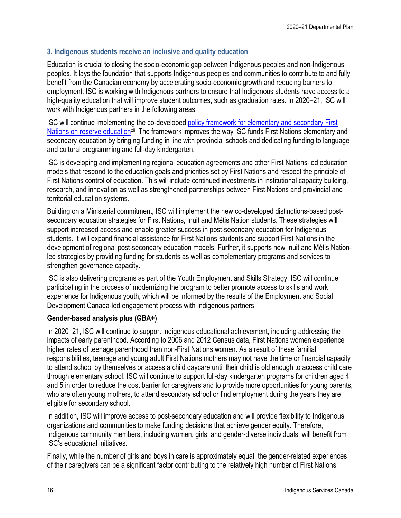### **3. Indigenous students receive an inclusive and quality education**

Education is crucial to closing the socio-economic gap between Indigenous peoples and non-Indigenous peoples. It lays the foundation that supports Indigenous peoples and communities to contribute to and fully benefit from the Canadian economy by accelerating socio-economic growth and reducing barriers to employment. ISC is working with Indigenous partners to ensure that Indigenous students have access to a high-quality education that will improve student outcomes, such as graduation rates. In 2020–21, ISC will work with Indigenous partners in the following areas:

ISC will continue implementing the co-developed policy framework for elementary and secondary First Nations on reserve education<sup>xii</sup>. The framework improves the way ISC funds First Nations elementary and secondary education by bringing funding in line with provincial schools and dedicating funding to language and cultural programming and full-day kindergarten.

ISC is developing and implementing regional education agreements and other First Nations-led education models that respond to the education goals and priorities set by First Nations and respect the principle of First Nations control of education. This will include continued investments in institutional capacity building, research, and innovation as well as strengthened partnerships between First Nations and provincial and territorial education systems.

Building on a Ministerial commitment, ISC will implement the new co-developed distinctions-based postsecondary education strategies for First Nations, Inuit and Métis Nation students. These strategies will support increased access and enable greater success in post-secondary education for Indigenous students. It will expand financial assistance for First Nations students and support First Nations in the development of regional post-secondary education models. Further, it supports new Inuit and Métis Nationled strategies by providing funding for students as well as complementary programs and services to strengthen governance capacity.

ISC is also delivering programs as part of the Youth Employment and Skills Strategy. ISC will continue participating in the process of modernizing the program to better promote access to skills and work experience for Indigenous youth, which will be informed by the results of the Employment and Social Development Canada-led engagement process with Indigenous partners.

### **Gender-based analysis plus (GBA+)**

In 2020–21, ISC will continue to support Indigenous educational achievement, including addressing the impacts of early parenthood. According to 2006 and 2012 Census data, First Nations women experience higher rates of teenage parenthood than non-First Nations women. As a result of these familial responsibilities, teenage and young adult First Nations mothers may not have the time or financial capacity to attend school by themselves or access a child daycare until their child is old enough to access child care through elementary school. ISC will continue to support full-day kindergarten programs for children aged 4 and 5 in order to reduce the cost barrier for caregivers and to provide more opportunities for young parents, who are often young mothers, to attend secondary school or find employment during the years they are eligible for secondary school.

In addition, ISC will improve access to post-secondary education and will provide flexibility to Indigenous organizations and communities to make funding decisions that achieve gender equity. Therefore, Indigenous community members, including women, girls, and gender-diverse individuals, will benefit from ISC's educational initiatives.

Finally, while the number of girls and boys in care is approximately equal, the gender-related experiences of their caregivers can be a significant factor contributing to the relatively high number of First Nations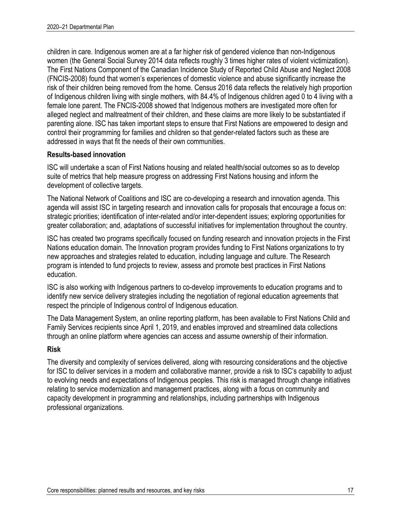children in care. Indigenous women are at a far higher risk of gendered violence than non-Indigenous women (the General Social Survey 2014 data reflects roughly 3 times higher rates of violent victimization). The First Nations Component of the Canadian Incidence Study of Reported Child Abuse and Neglect 2008 (FNCIS-2008) found that women's experiences of domestic violence and abuse significantly increase the risk of their children being removed from the home. Census 2016 data reflects the relatively high proportion of Indigenous children living with single mothers, with 84.4% of Indigenous children aged 0 to 4 living with a female lone parent. The FNCIS-2008 showed that Indigenous mothers are investigated more often for alleged neglect and maltreatment of their children, and these claims are more likely to be substantiated if parenting alone. ISC has taken important steps to ensure that First Nations are empowered to design and control their programming for families and children so that gender-related factors such as these are addressed in ways that fit the needs of their own communities.

### **Results-based innovation**

ISC will undertake a scan of First Nations housing and related health/social outcomes so as to develop suite of metrics that help measure progress on addressing First Nations housing and inform the development of collective targets.

The National Network of Coalitions and ISC are co-developing a research and innovation agenda. This agenda will assist ISC in targeting research and innovation calls for proposals that encourage a focus on: strategic priorities; identification of inter-related and/or inter-dependent issues; exploring opportunities for greater collaboration; and, adaptations of successful initiatives for implementation throughout the country.

ISC has created two programs specifically focused on funding research and innovation projects in the First Nations education domain. The Innovation program provides funding to First Nations organizations to try new approaches and strategies related to education, including language and culture. The Research program is intended to fund projects to review, assess and promote best practices in First Nations education.

ISC is also working with Indigenous partners to co-develop improvements to education programs and to identify new service delivery strategies including the negotiation of regional education agreements that respect the principle of Indigenous control of Indigenous education.

The Data Management System, an online reporting platform, has been available to First Nations Child and Family Services recipients since April 1, 2019, and enables improved and streamlined data collections through an online platform where agencies can access and assume ownership of their information.

### **Risk**

The diversity and complexity of services delivered, along with resourcing considerations and the objective for ISC to deliver services in a modern and collaborative manner, provide a risk to ISC's capability to adjust to evolving needs and expectations of Indigenous peoples. This risk is managed through change initiatives relating to service modernization and management practices, along with a focus on community and capacity development in programming and relationships, including partnerships with Indigenous professional organizations.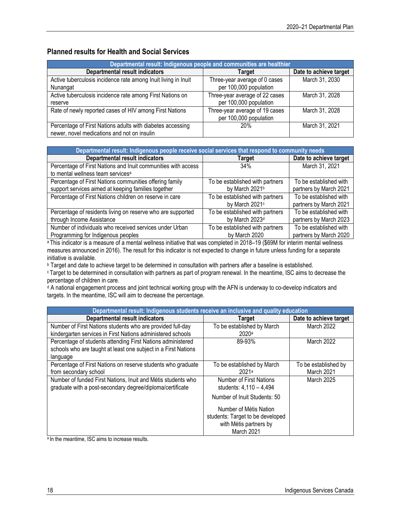### **Planned results for Health and Social Services**

| Departmental result: Indigenous people and communities are healthier |                                |                        |
|----------------------------------------------------------------------|--------------------------------|------------------------|
| <b>Departmental result indicators</b>                                | Target                         | Date to achieve target |
| Active tuberculosis incidence rate among Inuit living in Inuit       | Three-year average of 0 cases  | March 31, 2030         |
| Nunangat                                                             | per 100,000 population         |                        |
| Active tuberculosis incidence rate among First Nations on            | Three-year average of 22 cases | March 31, 2028         |
| reserve                                                              | per 100,000 population         |                        |
| Rate of newly reported cases of HIV among First Nations              | Three-year average of 19 cases | March 31, 2028         |
|                                                                      | per 100,000 population         |                        |
| Percentage of First Nations adults with diabetes accessing           | 20%                            | March 31, 2021         |
| newer, novel medications and not on insulin                          |                                |                        |

| Departmental result: Indigenous people receive social services that respond to community needs |                                 |                        |  |
|------------------------------------------------------------------------------------------------|---------------------------------|------------------------|--|
| <b>Departmental result indicators</b>                                                          | Target                          | Date to achieve target |  |
| Percentage of First Nations and Inuit communities with access                                  | 34%                             | March 31, 2021         |  |
| to mental wellness team services <sup>a</sup>                                                  |                                 |                        |  |
| Percentage of First Nations communities offering family                                        | To be established with partners | To be established with |  |
| support services aimed at keeping families together                                            | by March 2021b                  | partners by March 2021 |  |
| Percentage of First Nations children on reserve in care                                        | To be established with partners | To be established with |  |
|                                                                                                | by March 2021c                  | partners by March 2021 |  |
| Percentage of residents living on reserve who are supported                                    | To be established with partners | To be established with |  |
| through Income Assistance                                                                      | by March 2023d                  | partners by March 2023 |  |
| Number of individuals who received services under Urban                                        | To be established with partners | To be established with |  |
| Programming for Indigenous peoples                                                             | by March 2020                   | partners by March 2020 |  |

a This indicator is a measure of a mental wellness initiative that was completed in 2018–19 (\$69M for interim mental wellness measures announced in 2016). The result for this indicator is not expected to change in future unless funding for a separate initiative is available.

**b Target and date to achieve target to be determined in consultation with partners after a baseline is established.** 

<sup>c</sup> Target to be determined in consultation with partners as part of program renewal. In the meantime, ISC aims to decrease the percentage of children in care.

<sup>d</sup> A national engagement process and joint technical working group with the AFN is underway to co-develop indicators and targets. In the meantime, ISC will aim to decrease the percentage.

| Departmental result: Indigenous students receive an inclusive and quality education |                                  |                        |
|-------------------------------------------------------------------------------------|----------------------------------|------------------------|
| <b>Departmental result indicators</b>                                               | <b>Target</b>                    | Date to achieve target |
| Number of First Nations students who are provided full-day                          | To be established by March       | <b>March 2022</b>      |
| kindergarten services in First Nations administered schools                         | 2020 <sup>a</sup>                |                        |
| Percentage of students attending First Nations administered                         | 89-93%                           | March 2022             |
| schools who are taught at least one subject in a First Nations                      |                                  |                        |
| language                                                                            |                                  |                        |
| Percentage of First Nations on reserve students who graduate                        | To be established by March       | To be established by   |
| from secondary school                                                               | 2021a                            | March 2021             |
| Number of funded First Nations, Inuit and Métis students who                        | Number of First Nations          | March 2025             |
| graduate with a post-secondary degree/diploma/certificate                           | students: 4.110 - 4.494          |                        |
|                                                                                     | Number of Inuit Students: 50     |                        |
|                                                                                     | Number of Métis Nation           |                        |
|                                                                                     | students: Target to be developed |                        |
|                                                                                     | with Métis partners by           |                        |
|                                                                                     | March 2021                       |                        |

a In the meantime, ISC aims to increase results.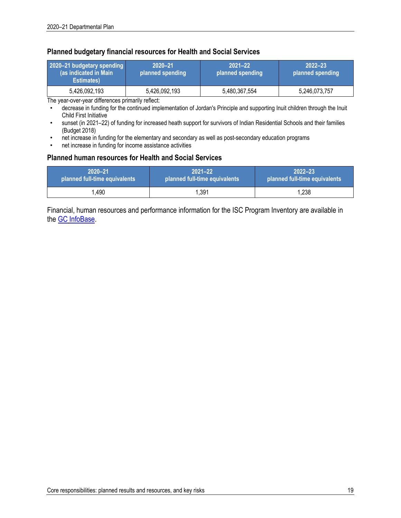#### **Planned budgetary financial resources for Health and Social Services**

| 2020-21 budgetary spending<br>(as indicated in Main)<br>Estimates) | $2020 - 21$<br>planned spending | $2021 - 22$<br>planned spending | $2022 - 23$<br>planned spending |
|--------------------------------------------------------------------|---------------------------------|---------------------------------|---------------------------------|
| 5,426,092,193                                                      | 5,426,092,193                   | 5,480,367,554                   | 5,246,073,757                   |

The year-over-year differences primarily reflect:

- decrease in funding for the continued implementation of Jordan's Principle and supporting Inuit children through the Inuit Child First Initiative
- sunset (in 2021–22) of funding for increased heath support for survivors of Indian Residential Schools and their families (Budget 2018)
- net increase in funding for the elementary and secondary as well as post-secondary education programs
- net increase in funding for income assistance activities

#### **Planned human resources for Health and Social Services**

| '2020–21                      | $2021 - 22$                   | $2022 - 23$                   |
|-------------------------------|-------------------------------|-------------------------------|
| planned full-time equivalents | planned full-time equivalents | planned full-time equivalents |
| .490                          | .391                          | 1,238                         |

Financial, human resources and performance information for the ISC Program Inventory are available in the GC InfoBase.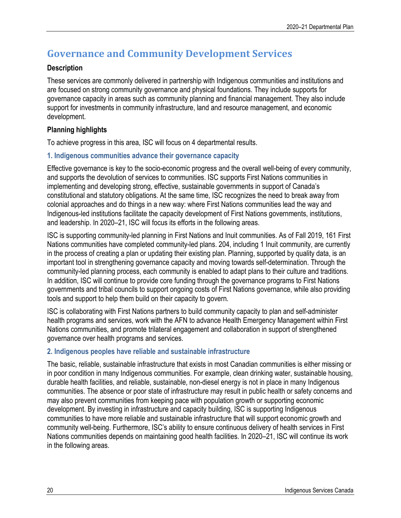# **Governance and Community Development Services**

### **Description**

These services are commonly delivered in partnership with Indigenous communities and institutions and are focused on strong community governance and physical foundations. They include supports for governance capacity in areas such as community planning and financial management. They also include support for investments in community infrastructure, land and resource management, and economic development.

### **Planning highlights**

To achieve progress in this area, ISC will focus on 4 departmental results.

### **1. Indigenous communities advance their governance capacity**

Effective governance is key to the socio-economic progress and the overall well-being of every community, and supports the devolution of services to communities. ISC supports First Nations communities in implementing and developing strong, effective, sustainable governments in support of Canada's constitutional and statutory obligations. At the same time, ISC recognizes the need to break away from colonial approaches and do things in a new way: where First Nations communities lead the way and Indigenous-led institutions facilitate the capacity development of First Nations governments, institutions, and leadership. In 2020–21, ISC will focus its efforts in the following areas.

ISC is supporting community-led planning in First Nations and Inuit communities. As of Fall 2019, 161 First Nations communities have completed community-led plans. 204, including 1 Inuit community, are currently in the process of creating a plan or updating their existing plan. Planning, supported by quality data, is an important tool in strengthening governance capacity and moving towards self-determination. Through the community-led planning process, each community is enabled to adapt plans to their culture and traditions. In addition, ISC will continue to provide core funding through the governance programs to First Nations governments and tribal councils to support ongoing costs of First Nations governance, while also providing tools and support to help them build on their capacity to govern.

ISC is collaborating with First Nations partners to build community capacity to plan and self-administer health programs and services, work with the AFN to advance Health Emergency Management within First Nations communities, and promote trilateral engagement and collaboration in support of strengthened governance over health programs and services.

### **2. Indigenous peoples have reliable and sustainable infrastructure**

The basic, reliable, sustainable infrastructure that exists in most Canadian communities is either missing or in poor condition in many Indigenous communities. For example, clean drinking water, sustainable housing, durable health facilities, and reliable, sustainable, non-diesel energy is not in place in many Indigenous communities. The absence or poor state of infrastructure may result in public health or safety concerns and may also prevent communities from keeping pace with population growth or supporting economic development. By investing in infrastructure and capacity building, ISC is supporting Indigenous communities to have more reliable and sustainable infrastructure that will support economic growth and community well-being. Furthermore, ISC's ability to ensure continuous delivery of health services in First Nations communities depends on maintaining good health facilities. In 2020–21, ISC will continue its work in the following areas.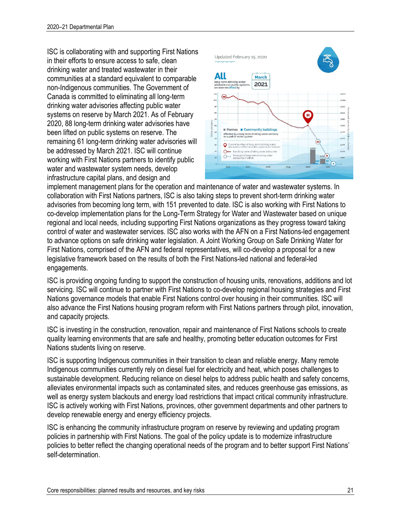ISC is collaborating with and supporting First Nations in their efforts to ensure access to safe, clean drinking water and treated wastewater in their communities at a standard equivalent to comparable non-Indigenous communities. The Government of Canada is committed to eliminating all long-term drinking water advisories affecting public water systems on reserve by March 2021. As of February 2020, 88 long-term drinking water advisories have been lifted on public systems on reserve. The remaining 61 long-term drinking water advisories will be addressed by March 2021. ISC will continue working with First Nations partners to identify public water and wastewater system needs, develop infrastructure capital plans, and design and



implement management plans for the operation and maintenance of water and wastewater systems. In collaboration with First Nations partners, ISC is also taking steps to prevent short-term drinking water advisories from becoming long term, with 151 prevented to date. ISC is also working with First Nations to co-develop implementation plans for the Long-Term Strategy for Water and Wastewater based on unique regional and local needs, including supporting First Nations organizations as they progress toward taking control of water and wastewater services. ISC also works with the AFN on a First Nations-led engagement to advance options on safe drinking water legislation. A Joint Working Group on Safe Drinking Water for First Nations, comprised of the AFN and federal representatives, will co-develop a proposal for a new legislative framework based on the results of both the First Nations-led national and federal-led engagements.

ISC is providing ongoing funding to support the construction of housing units, renovations, additions and lot servicing. ISC will continue to partner with First Nations to co-develop regional housing strategies and First Nations governance models that enable First Nations control over housing in their communities. ISC will also advance the First Nations housing program reform with First Nations partners through pilot, innovation, and capacity projects.

ISC is investing in the construction, renovation, repair and maintenance of First Nations schools to create quality learning environments that are safe and healthy, promoting better education outcomes for First Nations students living on reserve.

ISC is supporting Indigenous communities in their transition to clean and reliable energy. Many remote Indigenous communities currently rely on diesel fuel for electricity and heat, which poses challenges to sustainable development. Reducing reliance on diesel helps to address public health and safety concerns, alleviates environmental impacts such as contaminated sites, and reduces greenhouse gas emissions, as well as energy system blackouts and energy load restrictions that impact critical community infrastructure. ISC is actively working with First Nations, provinces, other government departments and other partners to develop renewable energy and energy efficiency projects.

ISC is enhancing the community infrastructure program on reserve by reviewing and updating program policies in partnership with First Nations. The goal of the policy update is to modernize infrastructure policies to better reflect the changing operational needs of the program and to better support First Nations' self-determination.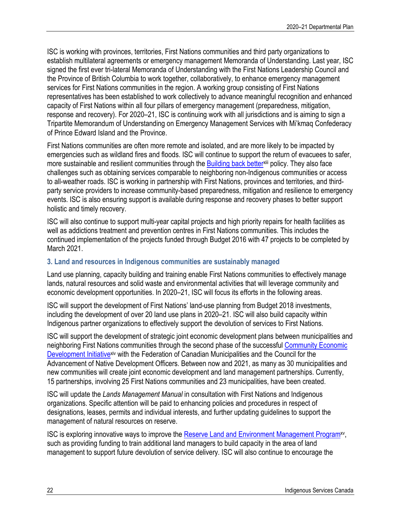ISC is working with provinces, territories, First Nations communities and third party organizations to establish multilateral agreements or emergency management Memoranda of Understanding. Last year, ISC signed the first ever tri-lateral Memoranda of Understanding with the First Nations Leadership Council and the Province of British Columbia to work together, collaboratively, to enhance emergency management services for First Nations communities in the region. A working group consisting of First Nations representatives has been established to work collectively to advance meaningful recognition and enhanced capacity of First Nations within all four pillars of emergency management (preparedness, mitigation, response and recovery). For 2020–21, ISC is continuing work with all jurisdictions and is aiming to sign a Tripartite Memorandum of Understanding on Emergency Management Services with Mi'kmaq Confederacy of Prince Edward Island and the Province.

First Nations communities are often more remote and isolated, and are more likely to be impacted by emergencies such as wildland fires and floods. ISC will continue to support the return of evacuees to safer, more sustainable and resilient communities through the Building back better<sup>xiii</sup> policy. They also face challenges such as obtaining services comparable to neighboring non-Indigenous communities or access to all-weather roads. ISC is working in partnership with First Nations, provinces and territories, and thirdparty service providers to increase community-based preparedness, mitigation and resilience to emergency events. ISC is also ensuring support is available during response and recovery phases to better support holistic and timely recovery.

ISC will also continue to support multi-year capital projects and high priority repairs for health facilities as well as addictions treatment and prevention centres in First Nations communities. This includes the continued implementation of the projects funded through Budget 2016 with 47 projects to be completed by March 2021.

### **3. Land and resources in Indigenous communities are sustainably managed**

Land use planning, capacity building and training enable First Nations communities to effectively manage lands, natural resources and solid waste and environmental activities that will leverage community and economic development opportunities. In 2020–21, ISC will focus its efforts in the following areas.

ISC will support the development of First Nations' land-use planning from Budget 2018 investments, including the development of over 20 land use plans in 2020–21. ISC will also build capacity within Indigenous partner organizations to effectively support the devolution of services to First Nations.

ISC will support the development of strategic joint economic development plans between municipalities and neighboring First Nations communities through the second phase of the successful Community Economic Development Initiativex<sup>iv</sup> with the Federation of Canadian Municipalities and the Council for the Advancement of Native Development Officers. Between now and 2021, as many as 30 municipalities and new communities will create joint economic development and land management partnerships. Currently, 15 partnerships, involving 25 First Nations communities and 23 municipalities, have been created.

ISC will update the *Lands Management Manual* in consultation with First Nations and Indigenous organizations. Specific attention will be paid to enhancing policies and procedures in respect of designations, leases, permits and individual interests, and further updating guidelines to support the management of natural resources on reserve.

ISC is exploring innovative ways to improve the Reserve Land and Environment Management Programxv, such as providing funding to train additional land managers to build capacity in the area of land management to support future devolution of service delivery. ISC will also continue to encourage the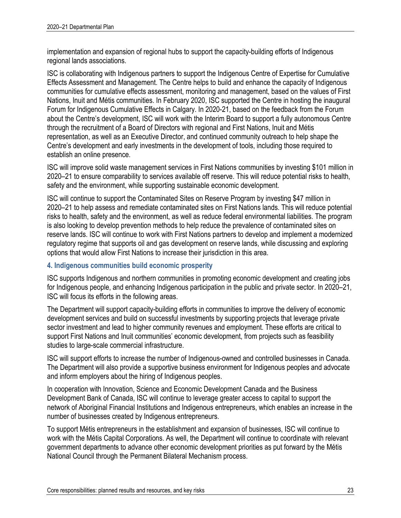implementation and expansion of regional hubs to support the capacity-building efforts of Indigenous regional lands associations.

ISC is collaborating with Indigenous partners to support the Indigenous Centre of Expertise for Cumulative Effects Assessment and Management. The Centre helps to build and enhance the capacity of Indigenous communities for cumulative effects assessment, monitoring and management, based on the values of First Nations, Inuit and Métis communities. In February 2020, ISC supported the Centre in hosting the inaugural Forum for Indigenous Cumulative Effects in Calgary. In 2020-21, based on the feedback from the Forum about the Centre's development, ISC will work with the Interim Board to support a fully autonomous Centre through the recruitment of a Board of Directors with regional and First Nations, Inuit and Métis representation, as well as an Executive Director, and continued community outreach to help shape the Centre's development and early investments in the development of tools, including those required to establish an online presence.

ISC will improve solid waste management services in First Nations communities by investing \$101 million in 2020–21 to ensure comparability to services available off reserve. This will reduce potential risks to health, safety and the environment, while supporting sustainable economic development.

ISC will continue to support the Contaminated Sites on Reserve Program by investing \$47 million in 2020–21 to help assess and remediate contaminated sites on First Nations lands. This will reduce potential risks to health, safety and the environment, as well as reduce federal environmental liabilities. The program is also looking to develop prevention methods to help reduce the prevalence of contaminated sites on reserve lands. ISC will continue to work with First Nations partners to develop and implement a modernized regulatory regime that supports oil and gas development on reserve lands, while discussing and exploring options that would allow First Nations to increase their jurisdiction in this area.

### **4. Indigenous communities build economic prosperity**

ISC supports Indigenous and northern communities in promoting economic development and creating jobs for Indigenous people, and enhancing Indigenous participation in the public and private sector. In 2020–21, ISC will focus its efforts in the following areas.

The Department will support capacity-building efforts in communities to improve the delivery of economic development services and build on successful investments by supporting projects that leverage private sector investment and lead to higher community revenues and employment. These efforts are critical to support First Nations and Inuit communities' economic development, from projects such as feasibility studies to large-scale commercial infrastructure.

ISC will support efforts to increase the number of Indigenous-owned and controlled businesses in Canada. The Department will also provide a supportive business environment for Indigenous peoples and advocate and inform employers about the hiring of Indigenous peoples.

In cooperation with Innovation, Science and Economic Development Canada and the Business Development Bank of Canada, ISC will continue to leverage greater access to capital to support the network of Aboriginal Financial Institutions and Indigenous entrepreneurs, which enables an increase in the number of businesses created by Indigenous entrepreneurs.

To support Métis entrepreneurs in the establishment and expansion of businesses, ISC will continue to work with the Métis Capital Corporations. As well, the Department will continue to coordinate with relevant government departments to advance other economic development priorities as put forward by the Métis National Council through the Permanent Bilateral Mechanism process.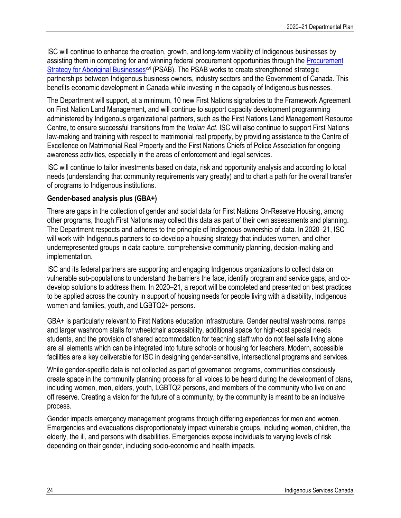ISC will continue to enhance the creation, growth, and long-term viability of Indigenous businesses by assisting them in competing for and winning federal procurement opportunities through the Procurement Strategy for Aboriginal Businesses<sup>xyi</sup> (PSAB). The PSAB works to create strengthened strategic partnerships between Indigenous business owners, industry sectors and the Government of Canada. This benefits economic development in Canada while investing in the capacity of Indigenous businesses.

The Department will support, at a minimum, 10 new First Nations signatories to the Framework Agreement on First Nation Land Management, and will continue to support capacity development programming administered by Indigenous organizational partners, such as the First Nations Land Management Resource Centre, to ensure successful transitions from the *Indian Act*. ISC will also continue to support First Nations law-making and training with respect to matrimonial real property, by providing assistance to the Centre of Excellence on Matrimonial Real Property and the First Nations Chiefs of Police Association for ongoing awareness activities, especially in the areas of enforcement and legal services.

ISC will continue to tailor investments based on data, risk and opportunity analysis and according to local needs (understanding that community requirements vary greatly) and to chart a path for the overall transfer of programs to Indigenous institutions.

### **Gender-based analysis plus (GBA+)**

There are gaps in the collection of gender and social data for First Nations On-Reserve Housing, among other programs, though First Nations may collect this data as part of their own assessments and planning. The Department respects and adheres to the principle of Indigenous ownership of data. In 2020–21, ISC will work with Indigenous partners to co-develop a housing strategy that includes women, and other underrepresented groups in data capture, comprehensive community planning, decision-making and implementation.

ISC and its federal partners are supporting and engaging Indigenous organizations to collect data on vulnerable sub-populations to understand the barriers the face, identify program and service gaps, and codevelop solutions to address them. In 2020–21, a report will be completed and presented on best practices to be applied across the country in support of housing needs for people living with a disability, Indigenous women and families, youth, and LGBTQ2+ persons.

GBA+ is particularly relevant to First Nations education infrastructure. Gender neutral washrooms, ramps and larger washroom stalls for wheelchair accessibility, additional space for high-cost special needs students, and the provision of shared accommodation for teaching staff who do not feel safe living alone are all elements which can be integrated into future schools or housing for teachers. Modern, accessible facilities are a key deliverable for ISC in designing gender-sensitive, intersectional programs and services.

While gender-specific data is not collected as part of governance programs, communities consciously create space in the community planning process for all voices to be heard during the development of plans, including women, men, elders, youth, LGBTQ2 persons, and members of the community who live on and off reserve. Creating a vision for the future of a community, by the community is meant to be an inclusive process.

Gender impacts emergency management programs through differing experiences for men and women. Emergencies and evacuations disproportionately impact vulnerable groups, including women, children, the elderly, the ill, and persons with disabilities. Emergencies expose individuals to varying levels of risk depending on their gender, including socio-economic and health impacts.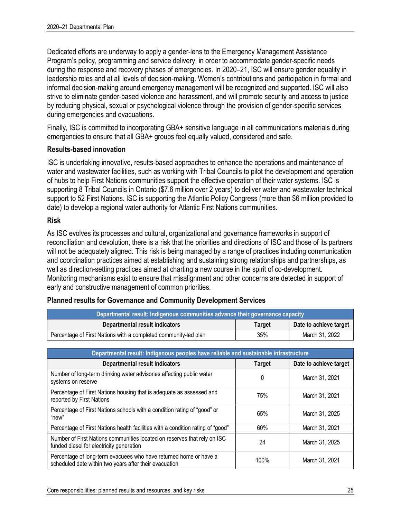Dedicated efforts are underway to apply a gender-lens to the Emergency Management Assistance Program's policy, programming and service delivery, in order to accommodate gender-specific needs during the response and recovery phases of emergencies. In 2020–21, ISC will ensure gender equality in leadership roles and at all levels of decision-making. Women's contributions and participation in formal and informal decision-making around emergency management will be recognized and supported. ISC will also strive to eliminate gender-based violence and harassment, and will promote security and access to justice by reducing physical, sexual or psychological violence through the provision of gender-specific services during emergencies and evacuations.

Finally, ISC is committed to incorporating GBA+ sensitive language in all communications materials during emergencies to ensure that all GBA+ groups feel equally valued, considered and safe.

### **Results-based innovation**

ISC is undertaking innovative, results-based approaches to enhance the operations and maintenance of water and wastewater facilities, such as working with Tribal Councils to pilot the development and operation of hubs to help First Nations communities support the effective operation of their water systems. ISC is supporting 8 Tribal Councils in Ontario (\$7.6 million over 2 years) to deliver water and wastewater technical support to 52 First Nations. ISC is supporting the Atlantic Policy Congress (more than \$6 million provided to date) to develop a regional water authority for Atlantic First Nations communities.

### **Risk**

As ISC evolves its processes and cultural, organizational and governance frameworks in support of reconciliation and devolution, there is a risk that the priorities and directions of ISC and those of its partners will not be adequately aligned. This risk is being managed by a range of practices including communication and coordination practices aimed at establishing and sustaining strong relationships and partnerships, as well as direction-setting practices aimed at charting a new course in the spirit of co-development. Monitoring mechanisms exist to ensure that misalignment and other concerns are detected in support of early and constructive management of common priorities.

| Departmental result: Indigenous communities advance their governance capacity |               |                        |
|-------------------------------------------------------------------------------|---------------|------------------------|
| Departmental result indicators                                                | <b>Target</b> | Date to achieve target |
| Percentage of First Nations with a completed community-led plan               | 35%           | March 31, 2022         |

| <b>Planned results for Governance and Community Development Services</b> |  |
|--------------------------------------------------------------------------|--|
|--------------------------------------------------------------------------|--|

| Departmental result: Indigenous peoples have reliable and sustainable infrastructure                                        |               |                        |  |  |
|-----------------------------------------------------------------------------------------------------------------------------|---------------|------------------------|--|--|
| <b>Departmental result indicators</b>                                                                                       | <b>Target</b> | Date to achieve target |  |  |
| Number of long-term drinking water advisories affecting public water<br>systems on reserve                                  | 0             | March 31, 2021         |  |  |
| Percentage of First Nations housing that is adequate as assessed and<br>reported by First Nations                           | 75%           | March 31, 2021         |  |  |
| Percentage of First Nations schools with a condition rating of "good" or<br>"new"                                           | 65%           | March 31, 2025         |  |  |
| Percentage of First Nations health facilities with a condition rating of "good"                                             | 60%           | March 31, 2021         |  |  |
| Number of First Nations communities located on reserves that rely on ISC<br>funded diesel for electricity generation        | 24            | March 31, 2025         |  |  |
| Percentage of long-term evacuees who have returned home or have a<br>scheduled date within two years after their evacuation | 100%          | March 31, 2021         |  |  |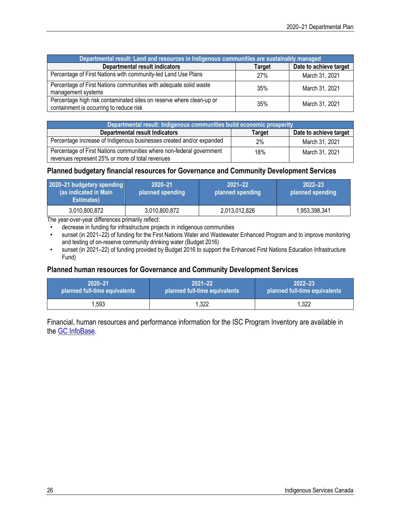| Departmental result: Land and resources in Indigenous communities are sustainably managed                       |        |                        |  |  |
|-----------------------------------------------------------------------------------------------------------------|--------|------------------------|--|--|
| <b>Departmental result indicators</b>                                                                           | Target | Date to achieve target |  |  |
| Percentage of First Nations with community-led Land Use Plans                                                   | 27%    | March 31, 2021         |  |  |
| Percentage of First Nations communities with adequate solid waste<br>management systems                         | 35%    | March 31, 2021         |  |  |
| Percentage high risk contaminated sites on reserve where clean-up or<br>containment is occurring to reduce risk | 35%    | March 31, 2021         |  |  |

| Departmental result: Indigenous communities build economic prosperity                                                    |     |                |  |  |  |
|--------------------------------------------------------------------------------------------------------------------------|-----|----------------|--|--|--|
| Date to achieve target<br><b>Departmental result Indicators</b><br>Target                                                |     |                |  |  |  |
| Percentage increase of Indigenous businesses created and/or expanded                                                     | 2%  | March 31, 2021 |  |  |  |
| Percentage of First Nations communities where non-federal government<br>revenues represent 25% or more of total revenues | 18% | March 31, 2021 |  |  |  |

### **Planned budgetary financial resources for Governance and Community Development Services**

| 2020-21 budgetary spending<br>(as indicated in Main)<br><b>Estimates</b> ) | $2021 - 22$<br>$2020 - 21$<br>planned spending<br>planned spending |               | $2022 - 23$<br>planned spending |  |
|----------------------------------------------------------------------------|--------------------------------------------------------------------|---------------|---------------------------------|--|
| 3,010,800,872                                                              | 3,010,800,872                                                      | 2,013,012,826 | 1,953,398,341                   |  |

The year-over-year differences primarily reflect:

• decrease in funding for infrastructure projects in indigenous communities

- sunset (in 2021–22) of funding for the First Nations Water and Wastewater Enhanced Program and to improve monitoring and testing of on-reserve community drinking water (Budget 2016)
- sunset (in 2021–22) of funding provided by Budget 2016 to support the Enhanced First Nations Education Infrastructure Fund)

### **Planned human resources for Governance and Community Development Services**

| $2020 - 21$                   | $2021 - 22$                   | $2022 - 23$                   |
|-------------------------------|-------------------------------|-------------------------------|
| planned full-time equivalents | planned full-time equivalents | planned full-time equivalents |
| 1,593                         | 1,322                         | 1.322                         |

Financial, human resources and performance information for the ISC Program Inventory are available in the GC InfoBase.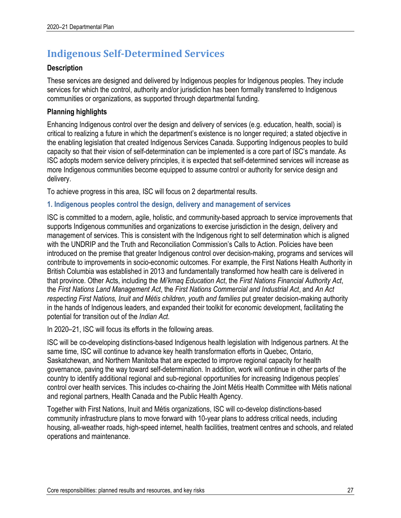# **Indigenous Self-Determined Services**

### **Description**

These services are designed and delivered by Indigenous peoples for Indigenous peoples. They include services for which the control, authority and/or jurisdiction has been formally transferred to Indigenous communities or organizations, as supported through departmental funding.

### **Planning highlights**

Enhancing Indigenous control over the design and delivery of services (e.g. education, health, social) is critical to realizing a future in which the department's existence is no longer required; a stated objective in the enabling legislation that created Indigenous Services Canada. Supporting Indigenous peoples to build capacity so that their vision of self-determination can be implemented is a core part of ISC's mandate. As ISC adopts modern service delivery principles, it is expected that self-determined services will increase as more Indigenous communities become equipped to assume control or authority for service design and delivery.

To achieve progress in this area, ISC will focus on 2 departmental results.

### **1. Indigenous peoples control the design, delivery and management of services**

ISC is committed to a modern, agile, holistic, and community-based approach to service improvements that supports Indigenous communities and organizations to exercise jurisdiction in the design, delivery and management of services. This is consistent with the Indigenous right to self determination which is aligned with the UNDRIP and the Truth and Reconciliation Commission's Calls to Action. Policies have been introduced on the premise that greater Indigenous control over decision-making, programs and services will contribute to improvements in socio-economic outcomes. For example, the First Nations Health Authority in British Columbia was established in 2013 and fundamentally transformed how health care is delivered in that province. Other Acts, including the *Mi'kmaq Education Act*, the *First Nations Financial Authority Act*, the *First Nations Land Management Act*, the *First Nations Commercial and Industrial Act*, and *An Act respecting First Nations, Inuit and Métis children, youth and families* put greater decision-making authority in the hands of Indigenous leaders, and expanded their toolkit for economic development, facilitating the potential for transition out of the *Indian Act*.

In 2020–21, ISC will focus its efforts in the following areas.

ISC will be co-developing distinctions-based Indigenous health legislation with Indigenous partners. At the same time, ISC will continue to advance key health transformation efforts in Quebec, Ontario, Saskatchewan, and Northern Manitoba that are expected to improve regional capacity for health governance, paving the way toward self-determination. In addition, work will continue in other parts of the country to identify additional regional and sub-regional opportunities for increasing Indigenous peoples' control over health services. This includes co-chairing the Joint Métis Health Committee with Métis national and regional partners, Health Canada and the Public Health Agency.

Together with First Nations, Inuit and Métis organizations, ISC will co-develop distinctions-based community infrastructure plans to move forward with 10-year plans to address critical needs, including housing, all-weather roads, high-speed internet, health facilities, treatment centres and schools, and related operations and maintenance.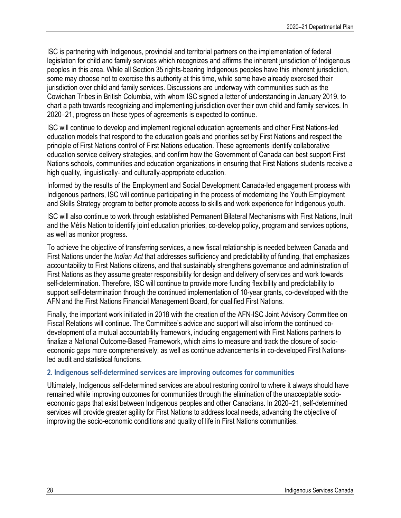ISC is partnering with Indigenous, provincial and territorial partners on the implementation of federal legislation for child and family services which recognizes and affirms the inherent jurisdiction of Indigenous peoples in this area. While all Section 35 rights-bearing Indigenous peoples have this inherent jurisdiction, some may choose not to exercise this authority at this time, while some have already exercised their jurisdiction over child and family services. Discussions are underway with communities such as the Cowichan Tribes in British Columbia, with whom ISC signed a letter of understanding in January 2019, to chart a path towards recognizing and implementing jurisdiction over their own child and family services. In 2020–21, progress on these types of agreements is expected to continue.

ISC will continue to develop and implement regional education agreements and other First Nations-led education models that respond to the education goals and priorities set by First Nations and respect the principle of First Nations control of First Nations education. These agreements identify collaborative education service delivery strategies, and confirm how the Government of Canada can best support First Nations schools, communities and education organizations in ensuring that First Nations students receive a high quality, linguistically- and culturally-appropriate education.

Informed by the results of the Employment and Social Development Canada-led engagement process with Indigenous partners, ISC will continue participating in the process of modernizing the Youth Employment and Skills Strategy program to better promote access to skills and work experience for Indigenous youth.

ISC will also continue to work through established Permanent Bilateral Mechanisms with First Nations, Inuit and the Métis Nation to identify joint education priorities, co-develop policy, program and services options, as well as monitor progress.

To achieve the objective of transferring services, a new fiscal relationship is needed between Canada and First Nations under the *Indian Act* that addresses sufficiency and predictability of funding, that emphasizes accountability to First Nations citizens, and that sustainably strengthens governance and administration of First Nations as they assume greater responsibility for design and delivery of services and work towards self-determination. Therefore, ISC will continue to provide more funding flexibility and predictability to support self-determination through the continued implementation of 10-year grants, co-developed with the AFN and the First Nations Financial Management Board, for qualified First Nations.

Finally, the important work initiated in 2018 with the creation of the AFN-ISC Joint Advisory Committee on Fiscal Relations will continue. The Committee's advice and support will also inform the continued codevelopment of a mutual accountability framework, including engagement with First Nations partners to finalize a National Outcome-Based Framework, which aims to measure and track the closure of socioeconomic gaps more comprehensively; as well as continue advancements in co-developed First Nationsled audit and statistical functions.

### **2. Indigenous self-determined services are improving outcomes for communities**

Ultimately, Indigenous self-determined services are about restoring control to where it always should have remained while improving outcomes for communities through the elimination of the unacceptable socioeconomic gaps that exist between Indigenous peoples and other Canadians. In 2020–21, self-determined services will provide greater agility for First Nations to address local needs, advancing the objective of improving the socio-economic conditions and quality of life in First Nations communities.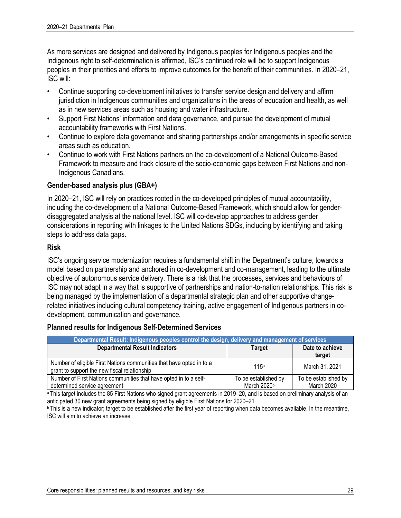As more services are designed and delivered by Indigenous peoples for Indigenous peoples and the Indigenous right to self-determination is affirmed, ISC's continued role will be to support Indigenous peoples in their priorities and efforts to improve outcomes for the benefit of their communities. In 2020–21, ISC will:

- Continue supporting co-development initiatives to transfer service design and delivery and affirm jurisdiction in Indigenous communities and organizations in the areas of education and health, as well as in new services areas such as housing and water infrastructure.
- Support First Nations' information and data governance, and pursue the development of mutual accountability frameworks with First Nations.
- Continue to explore data governance and sharing partnerships and/or arrangements in specific service areas such as education.
- Continue to work with First Nations partners on the co-development of a National Outcome-Based Framework to measure and track closure of the socio-economic gaps between First Nations and non-Indigenous Canadians.

### **Gender-based analysis plus (GBA+)**

In 2020–21, ISC will rely on practices rooted in the co-developed principles of mutual accountability, including the co-development of a National Outcome-Based Framework, which should allow for genderdisaggregated analysis at the national level. ISC will co-develop approaches to address gender considerations in reporting with linkages to the United Nations SDGs, including by identifying and taking steps to address data gaps.

### **Risk**

ISC's ongoing service modernization requires a fundamental shift in the Department's culture, towards a model based on partnership and anchored in co-development and co-management, leading to the ultimate objective of autonomous service delivery. There is a risk that the processes, services and behaviours of ISC may not adapt in a way that is supportive of partnerships and nation-to-nation relationships. This risk is being managed by the implementation of a departmental strategic plan and other supportive changerelated initiatives including cultural competency training, active engagement of Indigenous partners in codevelopment, communication and governance.

### **Planned results for Indigenous Self-Determined Services**

| Departmental Result: Indigenous peoples control the design, delivery and management of services                      |                                     |                                    |  |  |
|----------------------------------------------------------------------------------------------------------------------|-------------------------------------|------------------------------------|--|--|
| <b>Departmental Result Indicators</b>                                                                                | Date to achieve<br>target           |                                    |  |  |
| Number of eligible First Nations communities that have opted in to a<br>grant to support the new fiscal relationship | 115a                                | March 31, 2021                     |  |  |
| Number of First Nations communities that have opted in to a self-<br>determined service agreement                    | To be established by<br>March 2020b | To be established by<br>March 2020 |  |  |

<sup>a</sup> This target includes the 85 First Nations who signed grant agreements in 2019–20, and is based on preliminary analysis of an anticipated 30 new grant agreements being signed by eligible First Nations for 2020–21.

**b** This is a new indicator; target to be established after the first year of reporting when data becomes available. In the meantime, ISC will aim to achieve an increase.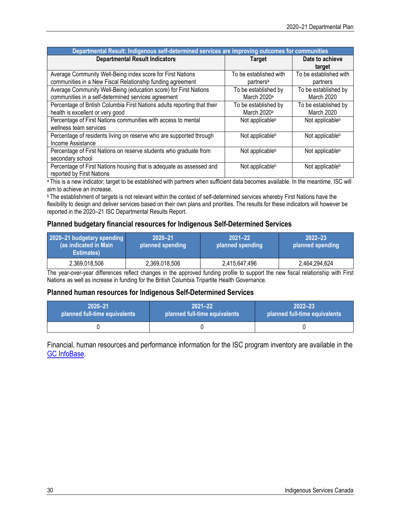| Departmental Result: Indigenous self-determined services are improving outcomes for communities |                             |                             |  |  |
|-------------------------------------------------------------------------------------------------|-----------------------------|-----------------------------|--|--|
| <b>Departmental Result Indicators</b>                                                           | <b>Target</b>               | Date to achieve             |  |  |
|                                                                                                 |                             | target                      |  |  |
| Average Community Well-Being index score for First Nations                                      | To be established with      | To be established with      |  |  |
| communities in a New Fiscal Relationship funding agreement                                      | partners <sup>a</sup>       | partners                    |  |  |
| Average Community Well-Being (education score) for First Nations                                | To be established by        | To be established by        |  |  |
| communities in a self-determined services agreement                                             | March 2020 <sup>a</sup>     | March 2020                  |  |  |
| Percentage of British Columbia First Nations adults reporting that their                        | To be established by        | To be established by        |  |  |
| health is excellent or very good                                                                | March 2020 <sup>a</sup>     | March 2020                  |  |  |
| Percentage of First Nations communities with access to mental                                   | Not applicable <sup>b</sup> | Not applicable <sup>b</sup> |  |  |
| wellness team services                                                                          |                             |                             |  |  |
| Percentage of residents living on reserve who are supported through                             | Not applicable <sup>b</sup> | Not applicable <sup>b</sup> |  |  |
| Income Assistance                                                                               |                             |                             |  |  |
| Percentage of First Nations on reserve students who graduate from                               | Not applicable <sup>b</sup> | Not applicable <sup>b</sup> |  |  |
| secondary school                                                                                |                             |                             |  |  |
| Percentage of First Nations housing that is adequate as assessed and                            | Not applicable <sup>b</sup> | Not applicable <sup>b</sup> |  |  |
| reported by First Nations                                                                       |                             |                             |  |  |

a This is a new indicator; target to be established with partners when sufficient data becomes available. In the meantime, ISC will aim to achieve an increase.

**b** The establishment of targets is not relevant within the context of self-determined services whereby First Nations have the flexibility to design and deliver services based on their own plans and priorities. The results for these indicators will however be reported in the 2020–21 ISC Departmental Results Report.

### **Planned budgetary financial resources for Indigenous Self-Determined Services**

| 2020-21 budgetary spending<br>(as indicated in Main<br><b>Estimates</b> ) | $2020 - 21$<br>planned spending |               | $2022 - 23$<br>planned spending |
|---------------------------------------------------------------------------|---------------------------------|---------------|---------------------------------|
| 2,369,018,506                                                             | 2,369,018,506                   | 2,415,647,496 | 2,464,294,624                   |

The year-over-year differences reflect changes in the approved funding profile to support the new fiscal relationship with First Nations as well as increase in funding for the British Columbia Tripartite Health Governance.

### **Planned human resources for Indigenous Self-Determined Services**

| 2020-21                       | $2021 - 22$                   | $2022 - 23$                   |  |  |
|-------------------------------|-------------------------------|-------------------------------|--|--|
| planned full-time equivalents | planned full-time equivalents | planned full-time equivalents |  |  |
|                               |                               |                               |  |  |

Financial, human resources and performance information for the ISC program inventory are available in the GC InfoBase.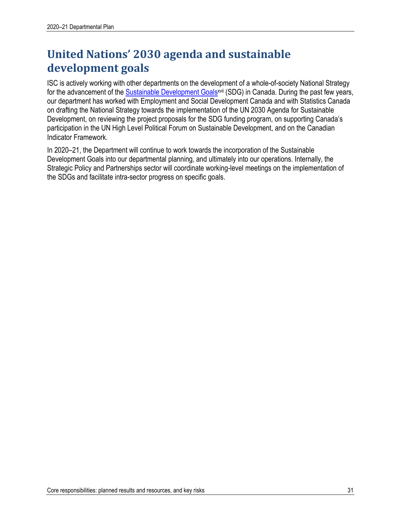# **United Nations' 2030 agenda and sustainable development goals**

ISC is actively working with other departments on the development of a whole-of-society National Strategy for the advancement of the Sustainable Development Goals<sup>xvii</sup> (SDG) in Canada. During the past few years, our department has worked with Employment and Social Development Canada and with Statistics Canada on drafting the National Strategy towards the implementation of the UN 2030 Agenda for Sustainable Development, on reviewing the project proposals for the SDG funding program, on supporting Canada's participation in the UN High Level Political Forum on Sustainable Development, and on the Canadian Indicator Framework.

In 2020–21, the Department will continue to work towards the incorporation of the Sustainable Development Goals into our departmental planning, and ultimately into our operations. Internally, the Strategic Policy and Partnerships sector will coordinate working-level meetings on the implementation of the SDGs and facilitate intra-sector progress on specific goals.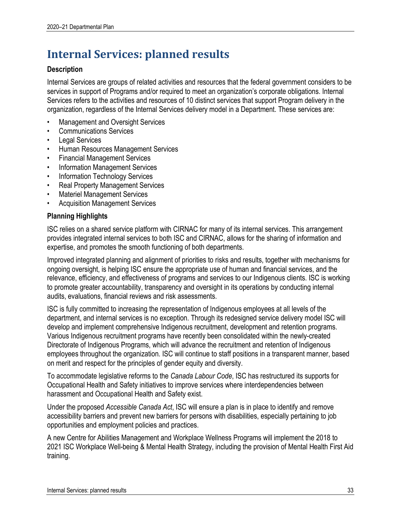# **Internal Services: planned results**

### **Description**

Internal Services are groups of related activities and resources that the federal government considers to be services in support of Programs and/or required to meet an organization's corporate obligations. Internal Services refers to the activities and resources of 10 distinct services that support Program delivery in the organization, regardless of the Internal Services delivery model in a Department. These services are:

- Management and Oversight Services
- Communications Services
- **Legal Services**
- Human Resources Management Services
- Financial Management Services
- Information Management Services
- Information Technology Services
- Real Property Management Services
- Materiel Management Services
- Acquisition Management Services

### **Planning Highlights**

ISC relies on a shared service platform with CIRNAC for many of its internal services. This arrangement provides integrated internal services to both ISC and CIRNAC, allows for the sharing of information and expertise, and promotes the smooth functioning of both departments.

Improved integrated planning and alignment of priorities to risks and results, together with mechanisms for ongoing oversight, is helping ISC ensure the appropriate use of human and financial services, and the relevance, efficiency, and effectiveness of programs and services to our Indigenous clients. ISC is working to promote greater accountability, transparency and oversight in its operations by conducting internal audits, evaluations, financial reviews and risk assessments.

ISC is fully committed to increasing the representation of Indigenous employees at all levels of the department, and internal services is no exception. Through its redesigned service delivery model ISC will develop and implement comprehensive Indigenous recruitment, development and retention programs. Various Indigenous recruitment programs have recently been consolidated within the newly-created Directorate of Indigenous Programs, which will advance the recruitment and retention of Indigenous employees throughout the organization. ISC will continue to staff positions in a transparent manner, based on merit and respect for the principles of gender equity and diversity.

To accommodate legislative reforms to the *Canada Labour Code*, ISC has restructured its supports for Occupational Health and Safety initiatives to improve services where interdependencies between harassment and Occupational Health and Safety exist.

Under the proposed *Accessible Canada Act*, ISC will ensure a plan is in place to identify and remove accessibility barriers and prevent new barriers for persons with disabilities, especially pertaining to job opportunities and employment policies and practices.

A new Centre for Abilities Management and Workplace Wellness Programs will implement the 2018 to 2021 ISC Workplace Well-being & Mental Health Strategy, including the provision of Mental Health First Aid training.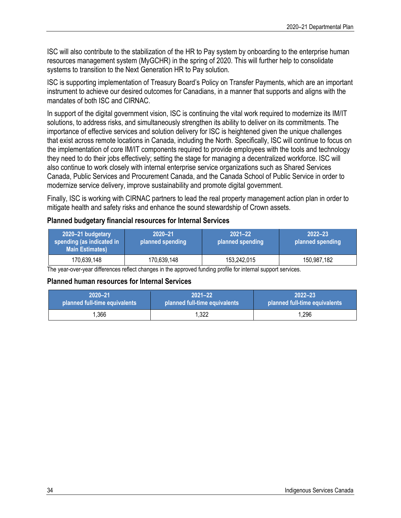ISC will also contribute to the stabilization of the HR to Pay system by onboarding to the enterprise human resources management system (MyGCHR) in the spring of 2020. This will further help to consolidate systems to transition to the Next Generation HR to Pay solution.

ISC is supporting implementation of Treasury Board's Policy on Transfer Payments, which are an important instrument to achieve our desired outcomes for Canadians, in a manner that supports and aligns with the mandates of both ISC and CIRNAC.

In support of the digital government vision, ISC is continuing the vital work required to modernize its IM/IT solutions, to address risks, and simultaneously strengthen its ability to deliver on its commitments. The importance of effective services and solution delivery for ISC is heightened given the unique challenges that exist across remote locations in Canada, including the North. Specifically, ISC will continue to focus on the implementation of core IM/IT components required to provide employees with the tools and technology they need to do their jobs effectively; setting the stage for managing a decentralized workforce. ISC will also continue to work closely with internal enterprise service organizations such as Shared Services Canada, Public Services and Procurement Canada, and the Canada School of Public Service in order to modernize service delivery, improve sustainability and promote digital government.

Finally, ISC is working with CIRNAC partners to lead the real property management action plan in order to mitigate health and safety risks and enhance the sound stewardship of Crown assets.

### **Planned budgetary financial resources for Internal Services**

| 2020–21 budgetary<br>spending (as indicated in<br><b>Main Estimates)</b> | 2020-21<br>planned spending | $2021 - 22$<br>planned spending | $2022 - 23$<br>planned spending |  |
|--------------------------------------------------------------------------|-----------------------------|---------------------------------|---------------------------------|--|
| 170,639,148                                                              | 170,639,148                 | 153,242,015                     | 150,987,182                     |  |

The year-over-year differences reflect changes in the approved funding profile for internal support services.

### **Planned human resources for Internal Services**

| 2020-21                       | $2021 - 22$                   | $2022 - 23$                   |
|-------------------------------|-------------------------------|-------------------------------|
| planned full-time equivalents | planned full-time equivalents | planned full-time equivalents |
| 1,366                         | 1,322                         | 1,296                         |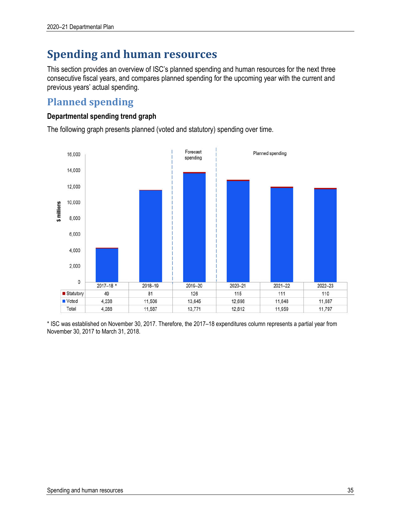# **Spending and human resources**

This section provides an overview of ISC's planned spending and human resources for the next three consecutive fiscal years, and compares planned spending for the upcoming year with the current and previous years' actual spending.

### **Planned spending**

### **Departmental spending trend graph**

The following graph presents planned (voted and statutory) spending over time.



\* ISC was established on November 30, 2017. Therefore, the 2017–18 expenditures column represents a partial year from November 30, 2017 to March 31, 2018.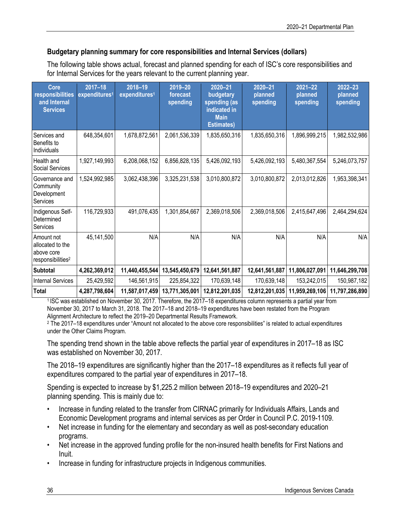### **Budgetary planning summary for core responsibilities and Internal Services (dollars)**

The following table shows actual, forecast and planned spending for each of ISC's core responsibilities and for Internal Services for the years relevant to the current planning year.

| Core<br>responsibilities<br>and Internal<br><b>Services</b>                   | $2017 - 18$<br>expenditures <sup>1</sup> | 2018-19<br>expenditures <sup>1</sup> | 2019-20<br>forecast<br>spending | 2020-21<br>budgetary<br>spending (as<br>indicated in<br><b>Main</b><br><b>Estimates)</b> | 2020-21<br>planned<br>spending | $2021 - 22$<br>planned<br>spending | $2022 - 23$<br>planned<br>spending |
|-------------------------------------------------------------------------------|------------------------------------------|--------------------------------------|---------------------------------|------------------------------------------------------------------------------------------|--------------------------------|------------------------------------|------------------------------------|
| Services and<br>Benefits to<br>Individuals                                    | 648,354,601                              | 1,678,872,561                        | 2,061,536,339                   | 1,835,650,316                                                                            | 1,835,650,316                  | 1,896,999,215                      | 1,982,532,986                      |
| Health and<br>Social Services                                                 | 1,927,149,993                            | 6,208,068,152                        | 6,856,828,135                   | 5,426,092,193                                                                            | 5,426,092,193                  | 5,480,367,554                      | 5,246,073,757                      |
| Governance and<br>Community<br>Development<br>Services                        | 1,524,992,985                            | 3,062,438,396                        | 3,325,231,538                   | 3,010,800,872                                                                            | 3,010,800,872                  | 2,013,012,826                      | 1,953,398,341                      |
| Indigenous Self-<br>Determined<br>Services                                    | 116,729,933                              | 491,076,435                          | 1,301,854,667                   | 2,369,018,506                                                                            | 2,369,018,506                  | 2,415,647,496                      | 2,464,294,624                      |
| Amount not<br>allocated to the<br>above core<br>responsibilities <sup>2</sup> | 45,141,500                               | N/A                                  | N/A                             | N/A                                                                                      | N/A                            | N/A                                | N/A                                |
| Subtotal                                                                      | 4,262,369,012                            | 11,440,455,544                       | 13,545,450,679                  | 12,641,561,887                                                                           | 12,641,561,887                 | 11,806,027,091                     | 11,646,299,708                     |
| <b>Internal Services</b>                                                      | 25,429,592                               | 146,561,915                          | 225,854,322                     | 170,639,148                                                                              | 170,639,148                    | 153,242,015                        | 150,987,182                        |
| <b>Total</b>                                                                  | 4,287,798,604                            | 11,587,017,459                       | 13,771,305,001                  | 12,812,201,035                                                                           | 12,812,201,035                 | 11,959,269,106                     | 11,797,286,890                     |

1 ISC was established on November 30, 2017. Therefore, the 2017–18 expenditures column represents a partial year from November 30, 2017 to March 31, 2018. The 2017–18 and 2018–19 expenditures have been restated from the Program Alignment Architecture to reflect the 2019–20 Departmental Results Framework.

<sup>2</sup> The 2017–18 expenditures under "Amount not allocated to the above core responsibilities" is related to actual expenditures under the Other Claims Program.

The spending trend shown in the table above reflects the partial year of expenditures in 2017–18 as ISC was established on November 30, 2017.

The 2018–19 expenditures are significantly higher than the 2017–18 expenditures as it reflects full year of expenditures compared to the partial year of expenditures in 2017–18.

Spending is expected to increase by \$1,225.2 million between 2018–19 expenditures and 2020–21 planning spending. This is mainly due to:

- Increase in funding related to the transfer from CIRNAC primarily for Individuals Affairs, Lands and Economic Development programs and internal services as per Order in Council P.C. 2019-1109.
- Net increase in funding for the elementary and secondary as well as post-secondary education programs.
- Net increase in the approved funding profile for the non-insured health benefits for First Nations and Inuit.
- Increase in funding for infrastructure projects in Indigenous communities.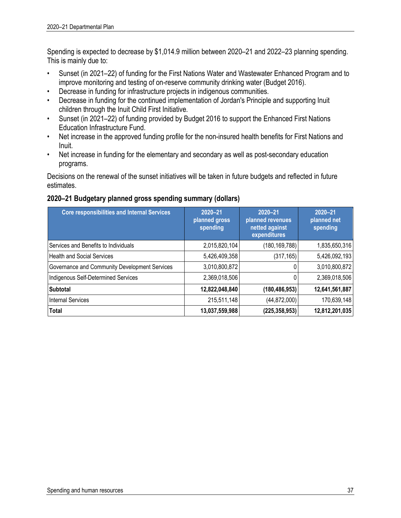Spending is expected to decrease by \$1,014.9 million between 2020–21 and 2022–23 planning spending. This is mainly due to:

- Sunset (in 2021–22) of funding for the First Nations Water and Wastewater Enhanced Program and to improve monitoring and testing of on-reserve community drinking water (Budget 2016).
- Decrease in funding for infrastructure projects in indigenous communities.
- Decrease in funding for the continued implementation of Jordan's Principle and supporting Inuit children through the Inuit Child First Initiative.
- Sunset (in 2021–22) of funding provided by Budget 2016 to support the Enhanced First Nations Education Infrastructure Fund.
- Net increase in the approved funding profile for the non-insured health benefits for First Nations and Inuit.
- Net increase in funding for the elementary and secondary as well as post-secondary education programs.

Decisions on the renewal of the sunset initiatives will be taken in future budgets and reflected in future estimates.

### **2020–21 Budgetary planned gross spending summary (dollars)**

| <b>Core responsibilities and Internal Services</b> | $2020 - 21$<br>planned gross<br>spending | $2020 - 21$<br>planned revenues<br>netted against<br>expenditures | $2020 - 21$<br>planned net<br>spending |
|----------------------------------------------------|------------------------------------------|-------------------------------------------------------------------|----------------------------------------|
| Services and Benefits to Individuals               | 2,015,820,104                            | (180, 169, 788)                                                   | 1,835,650,316                          |
| <b>Health and Social Services</b>                  | 5,426,409,358                            | (317, 165)                                                        | 5,426,092,193                          |
| Governance and Community Development Services      | 3,010,800,872                            |                                                                   | 3,010,800,872                          |
| Indigenous Self-Determined Services                | 2,369,018,506                            |                                                                   | 2,369,018,506                          |
| <b>Subtotal</b>                                    | 12,822,048,840                           | (180, 486, 953)                                                   | 12,641,561,887                         |
| <b>Internal Services</b>                           | 215,511,148                              | (44, 872, 000)                                                    | 170,639,148                            |
| Total                                              | 13,037,559,988                           | (225, 358, 953)                                                   | 12,812,201,035                         |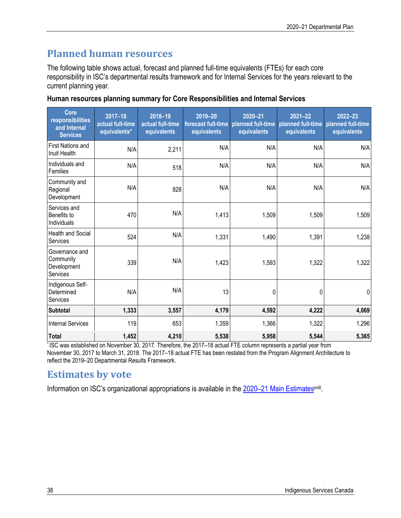# **Planned human resources**

The following table shows actual, forecast and planned full-time equivalents (FTEs) for each core responsibility in ISC's departmental results framework and for Internal Services for the years relevant to the current planning year.

|  | Human resources planning summary for Core Responsibilities and Internal Services |  |  |  |  |
|--|----------------------------------------------------------------------------------|--|--|--|--|
|--|----------------------------------------------------------------------------------|--|--|--|--|

| <b>Core</b><br>responsibilities<br>and Internal<br><b>Services</b> | $2017 - 18$<br>actual full-time<br>equivalents* | 2018-19<br>actual full-time<br>equivalents | 2019-20<br>forecast full-time<br>equivalents | $2020 - 21$<br>planned full-time<br>equivalents | $2021 - 22$<br>planned full-time<br>equivalents | $2022 - 23$<br>planned full-time<br>equivalents |
|--------------------------------------------------------------------|-------------------------------------------------|--------------------------------------------|----------------------------------------------|-------------------------------------------------|-------------------------------------------------|-------------------------------------------------|
| <b>First Nations and</b><br>Inuit Health                           | N/A                                             | 2,211                                      | N/A                                          | N/A                                             | N/A                                             | N/A                                             |
| Individuals and<br>Families                                        | N/A                                             | 518                                        | N/A                                          | N/A                                             | N/A                                             | N/A                                             |
| Community and<br>Regional<br>Development                           | N/A                                             | 828                                        | N/A                                          | N/A                                             | N/A                                             | N/A                                             |
| Services and<br>Benefits to<br>Individuals                         | 470                                             | N/A                                        | 1,413                                        | 1,509                                           | 1,509                                           | 1,509                                           |
| <b>Health and Social</b><br>Services                               | 524                                             | N/A                                        | 1,331                                        | 1,490                                           | 1,391                                           | 1,238                                           |
| Governance and<br>Community<br>Development<br>Services             | 339                                             | N/A                                        | 1,423                                        | 1,593                                           | 1,322                                           | 1,322                                           |
| Indigenous Self-<br>Determined<br>Services                         | N/A                                             | N/A                                        | 13                                           | 0                                               | 0                                               | $\mathbf 0$                                     |
| <b>Subtotal</b>                                                    | 1,333                                           | 3,557                                      | 4,179                                        | 4,592                                           | 4,222                                           | 4,069                                           |
| <b>Internal Services</b>                                           | 119                                             | 653                                        | 1,359                                        | 1,366                                           | 1,322                                           | 1,296                                           |
| <b>Total</b>                                                       | 1,452                                           | 4,210                                      | 5,538                                        | 5,958                                           | 5,544                                           | 5,365                                           |

\* ISC was established on November 30, 2017. Therefore, the 2017–18 actual FTE column represents a partial year from November 30, 2017 to March 31, 2018. The 2017–18 actual FTE has been restated from the Program Alignment Architecture to reflect the 2019–20 Departmental Results Framework.

### **Estimates by vote**

Information on ISC's organizational appropriations is available in the 2020-21 Main Estimates<sup>xviii</sup>.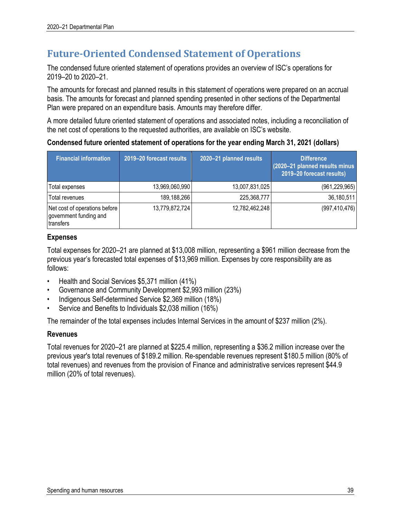### **Future-Oriented Condensed Statement of Operations**

The condensed future oriented statement of operations provides an overview of ISC's operations for 2019–20 to 2020–21.

The amounts for forecast and planned results in this statement of operations were prepared on an accrual basis. The amounts for forecast and planned spending presented in other sections of the Departmental Plan were prepared on an expenditure basis. Amounts may therefore differ.

A more detailed future oriented statement of operations and associated notes, including a reconciliation of the net cost of operations to the requested authorities, are available on ISC's website.

### **Condensed future oriented statement of operations for the year ending March 31, 2021 (dollars)**

| <b>Financial information</b>                                         | 2019-20 forecast results | 2020-21 planned results | <b>Difference</b><br>(2020-21 planned results minus<br>2019-20 forecast results) |
|----------------------------------------------------------------------|--------------------------|-------------------------|----------------------------------------------------------------------------------|
| Total expenses                                                       | 13,969,060,990           | 13,007,831,025          | (961, 229, 965)                                                                  |
| Total revenues                                                       | 189,188,266              | 225,368,777             | 36,180,511                                                                       |
| Net cost of operations before<br>government funding and<br>transfers | 13,779,872,724           | 12,782,462,248          | (997, 410, 476)                                                                  |

### **Expenses**

Total expenses for 2020–21 are planned at \$13,008 million, representing a \$961 million decrease from the previous year's forecasted total expenses of \$13,969 million. Expenses by core responsibility are as follows:

- Health and Social Services \$5,371 million (41%)
- Governance and Community Development \$2,993 million (23%)
- Indigenous Self-determined Service \$2,369 million (18%)
- Service and Benefits to Individuals \$2,038 million (16%)

The remainder of the total expenses includes Internal Services in the amount of \$237 million (2%).

### **Revenues**

Total revenues for 2020–21 are planned at \$225.4 million, representing a \$36.2 million increase over the previous year's total revenues of \$189.2 million. Re-spendable revenues represent \$180.5 million (80% of total revenues) and revenues from the provision of Finance and administrative services represent \$44.9 million (20% of total revenues).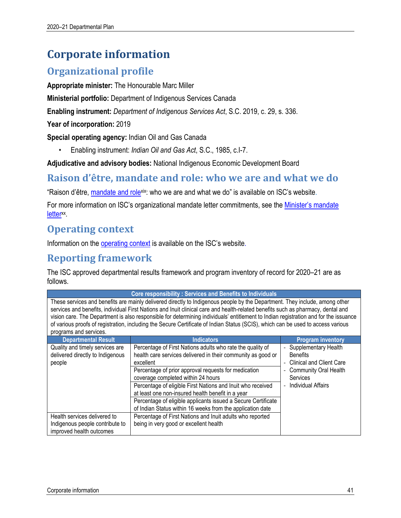# **Corporate information**

### **Organizational profile**

**Appropriate minister:** The Honourable Marc Miller

**Ministerial portfolio:** Department of Indigenous Services Canada

**Enabling instrument:** *Department of Indigenous Services Act*, S.C. 2019, c. 29, s. 336.

**Year of incorporation:** 2019

**Special operating agency:** Indian Oil and Gas Canada

• Enabling instrument: *Indian Oil and Gas Act*, S.C., 1985, c.I-7.

**Adjudicative and advisory bodies:** National Indigenous Economic Development Board

### **Raison d'être, mandate and role: who we are and what we do**

"Raison d'être, mandate and rolexix: who we are and what we do" is available on ISC's website.

For more information on ISC's organizational mandate letter commitments, see the Minister's mandate letter<sup>xx</sup>.

### **Operating context**

Information on the operating context is available on the ISC's website.

### **Reporting framework**

The ISC approved departmental results framework and program inventory of record for 2020–21 are as follows.

| <b>Core responsibility: Services and Benefits to Individuals</b>                                                                                                                                                                                                                                                                                                                                                                                                                                                                                                      |                                                                                                                                                                                                                                                                                                                                                                                                                                                                                          |                                                                                                                                                     |  |  |  |
|-----------------------------------------------------------------------------------------------------------------------------------------------------------------------------------------------------------------------------------------------------------------------------------------------------------------------------------------------------------------------------------------------------------------------------------------------------------------------------------------------------------------------------------------------------------------------|------------------------------------------------------------------------------------------------------------------------------------------------------------------------------------------------------------------------------------------------------------------------------------------------------------------------------------------------------------------------------------------------------------------------------------------------------------------------------------------|-----------------------------------------------------------------------------------------------------------------------------------------------------|--|--|--|
| These services and benefits are mainly delivered directly to Indigenous people by the Department. They include, among other<br>services and benefits, individual First Nations and Inuit clinical care and health-related benefits such as pharmacy, dental and<br>vision care. The Department is also responsible for determining individuals' entitlement to Indian registration and for the issuance<br>of various proofs of registration, including the Secure Certificate of Indian Status (SCIS), which can be used to access various<br>programs and services. |                                                                                                                                                                                                                                                                                                                                                                                                                                                                                          |                                                                                                                                                     |  |  |  |
| <b>Departmental Result</b>                                                                                                                                                                                                                                                                                                                                                                                                                                                                                                                                            | <b>Indicators</b>                                                                                                                                                                                                                                                                                                                                                                                                                                                                        | <b>Program inventory</b>                                                                                                                            |  |  |  |
| Quality and timely services are<br>delivered directly to Indigenous<br>people                                                                                                                                                                                                                                                                                                                                                                                                                                                                                         | Percentage of First Nations adults who rate the quality of<br>health care services delivered in their community as good or<br>excellent<br>Percentage of prior approval requests for medication<br>coverage completed within 24 hours<br>Percentage of eligible First Nations and Inuit who received<br>at least one non-insured health benefit in a year<br>Percentage of eligible applicants issued a Secure Certificate<br>of Indian Status within 16 weeks from the application date | Supplementary Health<br><b>Benefits</b><br><b>Clinical and Client Care</b><br><b>Community Oral Health</b><br><b>Services</b><br>Individual Affairs |  |  |  |
| Health services delivered to<br>Indigenous people contribute to<br>improved health outcomes                                                                                                                                                                                                                                                                                                                                                                                                                                                                           | Percentage of First Nations and Inuit adults who reported<br>being in very good or excellent health                                                                                                                                                                                                                                                                                                                                                                                      |                                                                                                                                                     |  |  |  |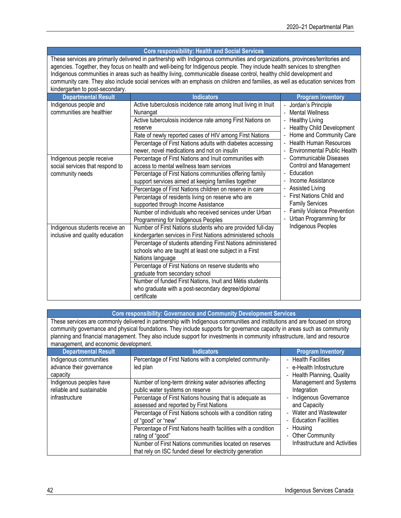#### **Core responsibility: Health and Social Services**

These services are primarily delivered in partnership with Indigenous communities and organizations, provinces/territories and agencies. Together, they focus on health and well-being for Indigenous people. They include health services to strengthen Indigenous communities in areas such as healthy living, communicable disease control, healthy child development and community care. They also include social services with an emphasis on children and families, as well as education services from kindergarten to post-secondary.

| <b>Departmental Result</b>      | <b>Indicators</b>                                              | <b>Program inventory</b>                           |
|---------------------------------|----------------------------------------------------------------|----------------------------------------------------|
| Indigenous people and           | Active tuberculosis incidence rate among Inuit living in Inuit | Jordan's Principle<br>$\qquad \qquad \blacksquare$ |
| communities are healthier       | Nunangat                                                       | <b>Mental Wellness</b>                             |
|                                 | Active tuberculosis incidence rate among First Nations on      | <b>Healthy Living</b>                              |
|                                 | reserve                                                        | <b>Healthy Child Development</b>                   |
|                                 | Rate of newly reported cases of HIV among First Nations        | Home and Community Care                            |
|                                 | Percentage of First Nations adults with diabetes accessing     | <b>Health Human Resources</b>                      |
|                                 | newer, novel medications and not on insulin                    | Environmental Public Health                        |
| Indigenous people receive       | Percentage of First Nations and Inuit communities with         | Communicable Diseases                              |
| social services that respond to | access to mental wellness team services                        | Control and Management                             |
| community needs                 | Percentage of First Nations communities offering family        | Education                                          |
|                                 | support services aimed at keeping families together            | Income Assistance                                  |
|                                 | Percentage of First Nations children on reserve in care        | <b>Assisted Living</b>                             |
|                                 | Percentage of residents living on reserve who are              | First Nations Child and                            |
|                                 | supported through Income Assistance                            | <b>Family Services</b>                             |
|                                 | Number of individuals who received services under Urban        | Family Violence Prevention                         |
|                                 | Programming for Indigenous Peoples                             | Urban Programming for                              |
| Indigenous students receive an  | Number of First Nations students who are provided full-day     | Indigenous Peoples                                 |
| inclusive and quality education | kindergarten services in First Nations administered schools    |                                                    |
|                                 | Percentage of students attending First Nations administered    |                                                    |
|                                 | schools who are taught at least one subject in a First         |                                                    |
|                                 | Nations language                                               |                                                    |
|                                 | Percentage of First Nations on reserve students who            |                                                    |
|                                 | graduate from secondary school                                 |                                                    |
|                                 | Number of funded First Nations, Inuit and Métis students       |                                                    |
|                                 | who graduate with a post-secondary degree/diploma/             |                                                    |
|                                 | certificate                                                    |                                                    |

| <b>Core responsibility: Governance and Community Development Services</b>                           |  |
|-----------------------------------------------------------------------------------------------------|--|
| es are commonly delivered in nartnership with Indigenous communities and institutions and are focus |  |

These services are commonly delivered in partnership with Indigenous communities and institutions and are focused on strong community governance and physical foundations. They include supports for governance capacity in areas such as community planning and financial management. They also include support for investments in community infrastructure, land and resource management, and economic development.

| <b>Departmental Result</b>                                            | Indicators                                                                                                                                                                                      | <b>Program Inventory</b>                                                                                       |
|-----------------------------------------------------------------------|-------------------------------------------------------------------------------------------------------------------------------------------------------------------------------------------------|----------------------------------------------------------------------------------------------------------------|
| Indigenous communities<br>advance their governance<br>capacity        | Percentage of First Nations with a completed community-<br>led plan                                                                                                                             | <b>Health Facilities</b><br>$\overline{\phantom{0}}$<br>- e-Health Infostructure<br>- Health Planning, Quality |
| Indigenous peoples have<br>reliable and sustainable<br>infrastructure | Number of long-term drinking water advisories affecting<br>public water systems on reserve<br>Percentage of First Nations housing that is adequate as<br>assessed and reported by First Nations | Management and Systems<br>Integration<br>Indigenous Governance<br>and Capacity                                 |
|                                                                       | Percentage of First Nations schools with a condition rating<br>of "good" or "new"                                                                                                               | - Water and Wastewater<br><b>Education Facilities</b>                                                          |
|                                                                       | Percentage of First Nations health facilities with a condition<br>rating of "good"                                                                                                              | Housing<br>Ξ.<br><b>Other Community</b><br>$\sim$                                                              |
|                                                                       | Number of First Nations communities located on reserves<br>that rely on ISC funded diesel for electricity generation                                                                            | Infrastructure and Activities                                                                                  |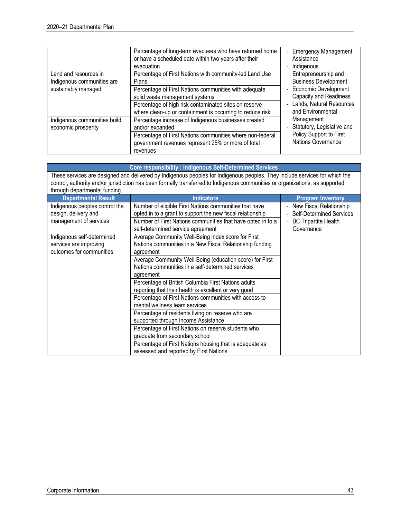| Land and resources in<br>Indigenous communities are<br>sustainably managed | Percentage of long-term evacuees who have returned home<br>or have a scheduled date within two years after their<br>evacuation<br>Percentage of First Nations with community-led Land Use<br>Plans<br>Percentage of First Nations communities with adequate<br>solid waste management systems | <b>Emergency Management</b><br>$\overline{a}$<br>Assistance<br>Indigenous<br>$\overline{\phantom{a}}$<br>Entrepreneurship and<br><b>Business Development</b><br>- Economic Development<br><b>Capacity and Readiness</b> |
|----------------------------------------------------------------------------|-----------------------------------------------------------------------------------------------------------------------------------------------------------------------------------------------------------------------------------------------------------------------------------------------|-------------------------------------------------------------------------------------------------------------------------------------------------------------------------------------------------------------------------|
|                                                                            | Percentage of high risk contaminated sites on reserve<br>where clean-up or containment is occurring to reduce risk                                                                                                                                                                            | Lands, Natural Resources<br>$\overline{\phantom{0}}$<br>and Environmental                                                                                                                                               |
| Indigenous communities build<br>economic prosperity                        | Percentage increase of Indigenous businesses created<br>and/or expanded<br>Percentage of First Nations communities where non-federal<br>government revenues represent 25% or more of total<br>revenues                                                                                        | Management<br>- Statutory, Legislative and<br>Policy Support to First<br>Nations Governance                                                                                                                             |

|                                                                                  | <b>Core responsibility: Indigenous Self-Determined Services</b>                                                                                                                                                                                                                        |                                                                                                      |  |  |  |  |
|----------------------------------------------------------------------------------|----------------------------------------------------------------------------------------------------------------------------------------------------------------------------------------------------------------------------------------------------------------------------------------|------------------------------------------------------------------------------------------------------|--|--|--|--|
| through departmental funding.                                                    | These services are designed and delivered by Indigenous peoples for Indigenous peoples. They include services for which the<br>control, authority and/or jurisdiction has been formally transferred to Indigenous communities or organizations, as supported                           |                                                                                                      |  |  |  |  |
| <b>Departmental Result</b>                                                       | <b>Indicators</b>                                                                                                                                                                                                                                                                      | <b>Program Inventory</b>                                                                             |  |  |  |  |
| Indigenous peoples control the<br>design, delivery and<br>management of services | Number of eligible First Nations communities that have<br>opted in to a grant to support the new fiscal relationship<br>Number of First Nations communities that have opted in to a<br>self-determined service agreement                                                               | - New Fiscal Relationship<br><b>Self-Determined Services</b><br>- BC Tripartite Health<br>Governance |  |  |  |  |
| Indigenous self-determined<br>services are improving<br>outcomes for communities | Average Community Well-Being index score for First<br>Nations communities in a New Fiscal Relationship funding<br>agreement<br>Average Community Well-Being (education score) for First<br>Nations communities in a self-determined services                                           |                                                                                                      |  |  |  |  |
|                                                                                  | agreement<br>Percentage of British Columbia First Nations adults<br>reporting that their health is excellent or very good<br>Percentage of First Nations communities with access to<br>mental wellness team services                                                                   |                                                                                                      |  |  |  |  |
|                                                                                  | Percentage of residents living on reserve who are<br>supported through Income Assistance<br>Percentage of First Nations on reserve students who<br>graduate from secondary school<br>Percentage of First Nations housing that is adequate as<br>assessed and reported by First Nations |                                                                                                      |  |  |  |  |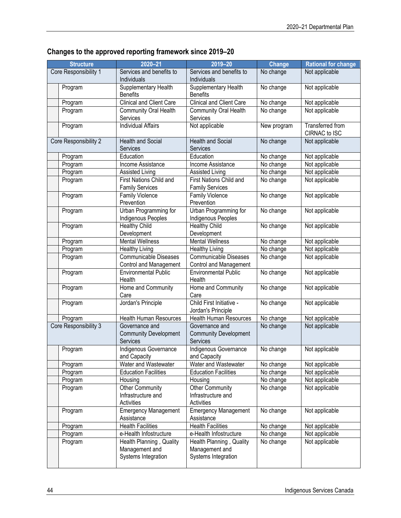### **Changes to the approved reporting framework since 2019–20**

| <b>Structure</b>      | $2020 - 21$                    | 2019-20                         | <b>Change</b> | <b>Rational for change</b> |
|-----------------------|--------------------------------|---------------------------------|---------------|----------------------------|
| Core Responsibility 1 | Services and benefits to       | Services and benefits to        | No change     | Not applicable             |
|                       | Individuals                    | Individuals                     |               |                            |
| Program               | Supplementary Health           | Supplementary Health            | No change     | Not applicable             |
|                       | <b>Benefits</b>                | <b>Benefits</b>                 |               |                            |
| Program               | Clinical and Client Care       | <b>Clinical and Client Care</b> | No change     | Not applicable             |
| Program               | Community Oral Health          | Community Oral Health           | No change     | Not applicable             |
|                       | Services                       | Services                        |               |                            |
| Program               | <b>Individual Affairs</b>      | Not applicable                  | New program   | Transferred from           |
|                       |                                |                                 |               | CIRNAC to ISC              |
| Core Responsibility 2 | <b>Health and Social</b>       | <b>Health and Social</b>        | No change     | Not applicable             |
|                       | Services                       | <b>Services</b>                 |               |                            |
| Program               | Education                      | Education                       | No change     | Not applicable             |
| Program               | Income Assistance              | Income Assistance               | No change     | Not applicable             |
| Program               | Assisted Living                | Assisted Living                 | No change     | Not applicable             |
| Program               | <b>First Nations Child and</b> | <b>First Nations Child and</b>  | No change     | Not applicable             |
|                       | <b>Family Services</b>         | <b>Family Services</b>          |               |                            |
| Program               | Family Violence                | <b>Family Violence</b>          | No change     | Not applicable             |
|                       | Prevention                     | Prevention                      |               |                            |
| Program               | Urban Programming for          | Urban Programming for           | No change     | Not applicable             |
|                       | Indigenous Peoples             | Indigenous Peoples              |               |                            |
| Program               | <b>Healthy Child</b>           | <b>Healthy Child</b>            | No change     | Not applicable             |
|                       | Development                    | Development                     |               |                            |
| Program               | <b>Mental Wellness</b>         | <b>Mental Wellness</b>          | No change     | Not applicable             |
| Program               | <b>Healthy Living</b>          | <b>Healthy Living</b>           | No change     | Not applicable             |
| Program               | <b>Communicable Diseases</b>   | <b>Communicable Diseases</b>    | No change     | Not applicable             |
|                       | <b>Control and Management</b>  | Control and Management          |               |                            |
| Program               | <b>Environmental Public</b>    | <b>Environmental Public</b>     | No change     | Not applicable             |
|                       | Health                         | Health                          |               |                            |
| Program               | Home and Community             | Home and Community              | No change     | Not applicable             |
|                       | Care                           | Care                            |               |                            |
| Program               | Jordan's Principle             | Child First Initiative -        | No change     | Not applicable             |
|                       |                                | Jordan's Principle              |               |                            |
| Program               | <b>Health Human Resources</b>  | <b>Health Human Resources</b>   | No change     | Not applicable             |
| Core Responsibility 3 | Governance and                 | Governance and                  | No change     | Not applicable             |
|                       | <b>Community Development</b>   | <b>Community Development</b>    |               |                            |
|                       | <b>Services</b>                | Services                        |               |                            |
| Program               | Indigenous Governance          | Indigenous Governance           | No change     | Not applicable             |
|                       | and Capacity                   | and Capacity                    |               |                            |
| Program               | Water and Wastewater           | Water and Wastewater            | No change     | Not applicable             |
| Program               | <b>Education Facilities</b>    | <b>Education Facilities</b>     | No change     | Not applicable             |
| Program               | Housing                        | Housing                         | No change     | Not applicable             |
| Program               | <b>Other Community</b>         | Other Community                 | No change     | Not applicable             |
|                       | Infrastructure and             | Infrastructure and              |               |                            |
|                       | Activities                     | <b>Activities</b>               |               |                            |
| Program               | <b>Emergency Management</b>    | <b>Emergency Management</b>     | No change     | Not applicable             |
|                       | Assistance                     | Assistance                      |               |                            |
| Program               | <b>Health Facilities</b>       | <b>Health Facilities</b>        | No change     | Not applicable             |
| Program               | e-Health Infostructure         | e-Health Infostructure          | No change     | Not applicable             |
| Program               | Health Planning, Quality       | Health Planning, Quality        | No change     | Not applicable             |
|                       | Management and                 | Management and                  |               |                            |
|                       | Systems Integration            | Systems Integration             |               |                            |
|                       |                                |                                 |               |                            |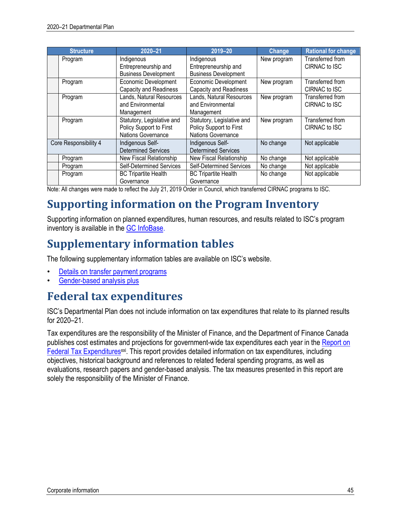| <b>Structure</b>      | 2020-21                       | 2019-20                         | <b>Change</b> | <b>Rational for change</b> |
|-----------------------|-------------------------------|---------------------------------|---------------|----------------------------|
| Program               | Indigenous                    | Indigenous                      | New program   | Transferred from           |
|                       | Entrepreneurship and          | Entrepreneurship and            |               | CIRNAC to ISC              |
|                       | <b>Business Development</b>   | <b>Business Development</b>     |               |                            |
| Program               | <b>Economic Development</b>   | Economic Development            | New program   | Transferred from           |
|                       | <b>Capacity and Readiness</b> | <b>Capacity and Readiness</b>   |               | CIRNAC to ISC              |
| Program               | Lands, Natural Resources      | Lands, Natural Resources        | New program   | Transferred from           |
|                       | and Environmental             | and Environmental               |               | CIRNAC to ISC              |
|                       | Management                    | Management                      |               |                            |
| Program               | Statutory, Legislative and    | Statutory, Legislative and      | New program   | Transferred from           |
|                       | Policy Support to First       | Policy Support to First         |               | CIRNAC to ISC              |
|                       | Nations Governance            | <b>Nations Governance</b>       |               |                            |
| Core Responsibility 4 | Indigenous Self-              | Indigenous Self-                | No change     | Not applicable             |
|                       | <b>Determined Services</b>    | <b>Determined Services</b>      |               |                            |
| Program               | New Fiscal Relationship       | New Fiscal Relationship         | No change     | Not applicable             |
| Program               | Self-Determined Services      | <b>Self-Determined Services</b> | No change     | Not applicable             |
| Program               | <b>BC Tripartite Health</b>   | <b>BC Tripartite Health</b>     | No change     | Not applicable             |
|                       | Governance                    | Governance                      |               |                            |

Note: All changes were made to reflect the July 21, 2019 Order in Council, which transferred CIRNAC programs to ISC.

# **Supporting information on the Program Inventory**

Supporting information on planned expenditures, human resources, and results related to ISC's program inventory is available in the GC InfoBase.

# **Supplementary information tables**

The following supplementary information tables are available on ISC's website.

- Details on transfer payment programs
- Gender-based analysis plus

# **Federal tax expenditures**

ISC's Departmental Plan does not include information on tax expenditures that relate to its planned results for 2020–21.

Tax expenditures are the responsibility of the Minister of Finance, and the Department of Finance Canada publishes cost estimates and projections for government-wide tax expenditures each year in the Report on Federal Tax Expenditures<sup>xxi</sup>. This report provides detailed information on tax expenditures, including objectives, historical background and references to related federal spending programs, as well as evaluations, research papers and gender-based analysis. The tax measures presented in this report are solely the responsibility of the Minister of Finance.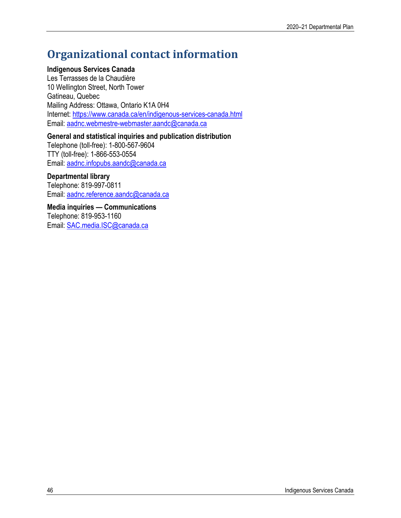# **Organizational contact information**

### **Indigenous Services Canada**

Les Terrasses de la Chaudière 10 Wellington Street, North Tower Gatineau, Quebec Mailing Address: Ottawa, Ontario K1A 0H4 Internet: https://www.canada.ca/en/indigenous-services-canada.html Email: aadnc.webmestre-webmaster.aandc@canada.ca

### **General and statistical inquiries and publication distribution**

Telephone (toll-free): 1-800-567-9604 TTY (toll-free): 1-866-553-0554 Email: aadnc.infopubs.aandc@canada.ca

### **Departmental library**

Telephone: 819-997-0811 Email: aadnc.reference.aandc@canada.ca

**Media inquiries — Communications** Telephone: 819-953-1160 Email: SAC.media.ISC@canada.ca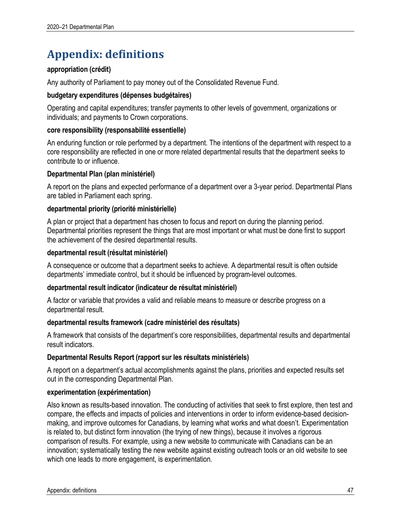# **Appendix: definitions**

### **appropriation (crédit)**

Any authority of Parliament to pay money out of the Consolidated Revenue Fund.

### **budgetary expenditures (dépenses budgétaires)**

Operating and capital expenditures; transfer payments to other levels of government, organizations or individuals; and payments to Crown corporations.

### **core responsibility (responsabilité essentielle)**

An enduring function or role performed by a department. The intentions of the department with respect to a core responsibility are reflected in one or more related departmental results that the department seeks to contribute to or influence.

### **Departmental Plan (plan ministériel)**

A report on the plans and expected performance of a department over a 3-year period. Departmental Plans are tabled in Parliament each spring.

### **departmental priority (priorité ministérielle)**

A plan or project that a department has chosen to focus and report on during the planning period. Departmental priorities represent the things that are most important or what must be done first to support the achievement of the desired departmental results.

### **departmental result (résultat ministériel)**

A consequence or outcome that a department seeks to achieve. A departmental result is often outside departments' immediate control, but it should be influenced by program-level outcomes.

### **departmental result indicator (indicateur de résultat ministériel)**

A factor or variable that provides a valid and reliable means to measure or describe progress on a departmental result.

### **departmental results framework (cadre ministériel des résultats)**

A framework that consists of the department's core responsibilities, departmental results and departmental result indicators.

### **Departmental Results Report (rapport sur les résultats ministériels)**

A report on a department's actual accomplishments against the plans, priorities and expected results set out in the corresponding Departmental Plan.

### **experimentation (expérimentation)**

Also known as results-based innovation. The conducting of activities that seek to first explore, then test and compare, the effects and impacts of policies and interventions in order to inform evidence-based decisionmaking, and improve outcomes for Canadians, by learning what works and what doesn't. Experimentation is related to, but distinct form innovation (the trying of new things), because it involves a rigorous comparison of results. For example, using a new website to communicate with Canadians can be an innovation; systematically testing the new website against existing outreach tools or an old website to see which one leads to more engagement, is experimentation.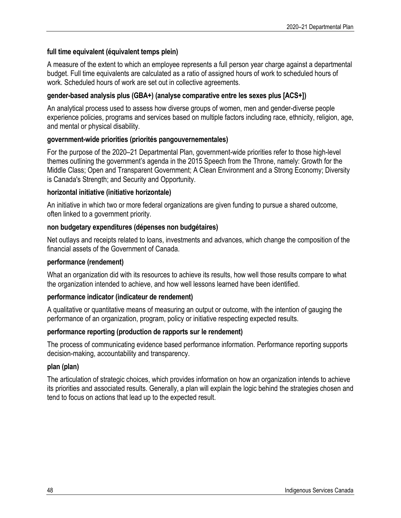### **full time equivalent (équivalent temps plein)**

A measure of the extent to which an employee represents a full person year charge against a departmental budget. Full time equivalents are calculated as a ratio of assigned hours of work to scheduled hours of work. Scheduled hours of work are set out in collective agreements.

### **gender-based analysis plus (GBA+) (analyse comparative entre les sexes plus [ACS+])**

An analytical process used to assess how diverse groups of women, men and gender-diverse people experience policies, programs and services based on multiple factors including race, ethnicity, religion, age, and mental or physical disability.

### **government-wide priorities (priorités pangouvernementales)**

For the purpose of the 2020–21 Departmental Plan, government-wide priorities refer to those high-level themes outlining the government's agenda in the 2015 Speech from the Throne, namely: Growth for the Middle Class; Open and Transparent Government; A Clean Environment and a Strong Economy; Diversity is Canada's Strength; and Security and Opportunity.

### **horizontal initiative (initiative horizontale)**

An initiative in which two or more federal organizations are given funding to pursue a shared outcome, often linked to a government priority.

### **non budgetary expenditures (dépenses non budgétaires)**

Net outlays and receipts related to loans, investments and advances, which change the composition of the financial assets of the Government of Canada.

### **performance (rendement)**

What an organization did with its resources to achieve its results, how well those results compare to what the organization intended to achieve, and how well lessons learned have been identified.

### **performance indicator (indicateur de rendement)**

A qualitative or quantitative means of measuring an output or outcome, with the intention of gauging the performance of an organization, program, policy or initiative respecting expected results.

### **performance reporting (production de rapports sur le rendement)**

The process of communicating evidence based performance information. Performance reporting supports decision-making, accountability and transparency.

### **plan (plan)**

The articulation of strategic choices, which provides information on how an organization intends to achieve its priorities and associated results. Generally, a plan will explain the logic behind the strategies chosen and tend to focus on actions that lead up to the expected result.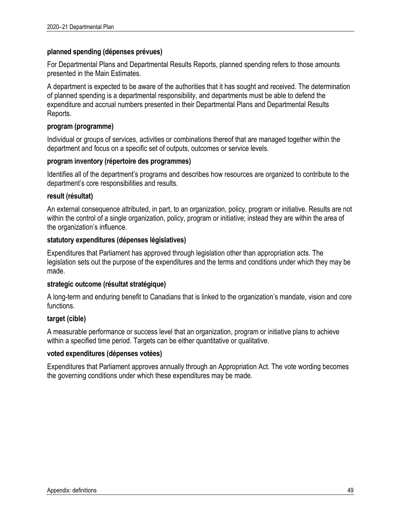### **planned spending (dépenses prévues)**

For Departmental Plans and Departmental Results Reports, planned spending refers to those amounts presented in the Main Estimates.

A department is expected to be aware of the authorities that it has sought and received. The determination of planned spending is a departmental responsibility, and departments must be able to defend the expenditure and accrual numbers presented in their Departmental Plans and Departmental Results Reports.

### **program (programme)**

Individual or groups of services, activities or combinations thereof that are managed together within the department and focus on a specific set of outputs, outcomes or service levels.

### **program inventory (répertoire des programmes)**

Identifies all of the department's programs and describes how resources are organized to contribute to the department's core responsibilities and results.

### **result (résultat)**

An external consequence attributed, in part, to an organization, policy, program or initiative. Results are not within the control of a single organization, policy, program or initiative; instead they are within the area of the organization's influence.

### **statutory expenditures (dépenses législatives)**

Expenditures that Parliament has approved through legislation other than appropriation acts. The legislation sets out the purpose of the expenditures and the terms and conditions under which they may be made.

### **strategic outcome (résultat stratégique)**

A long-term and enduring benefit to Canadians that is linked to the organization's mandate, vision and core functions.

### **target (cible)**

A measurable performance or success level that an organization, program or initiative plans to achieve within a specified time period. Targets can be either quantitative or qualitative.

### **voted expenditures (dépenses votées)**

Expenditures that Parliament approves annually through an Appropriation Act. The vote wording becomes the governing conditions under which these expenditures may be made.